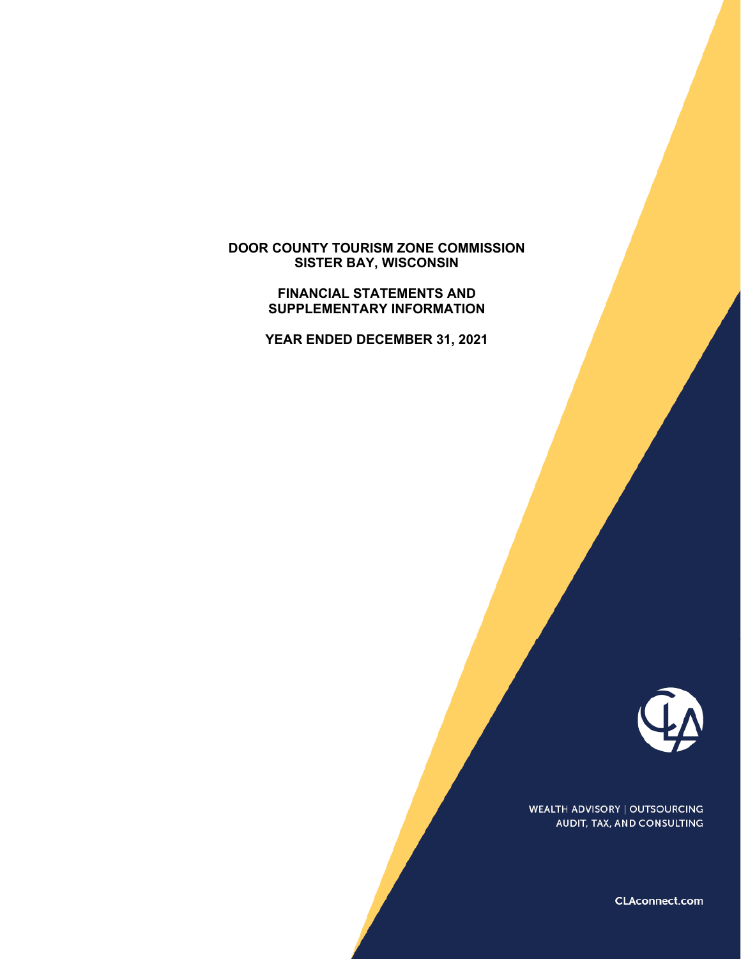### **DOOR COUNTY TOURISM ZONE COMMISSION SISTER BAY, WISCONSIN**

**FINANCIAL STATEMENTS AND SUPPLEMENTARY INFORMATION**

**YEAR ENDED DECEMBER 31, 2021**



**WEALTH ADVISORY | OUTSOURCING** AUDIT, TAX, AND CONSULTING

CLAconnect.com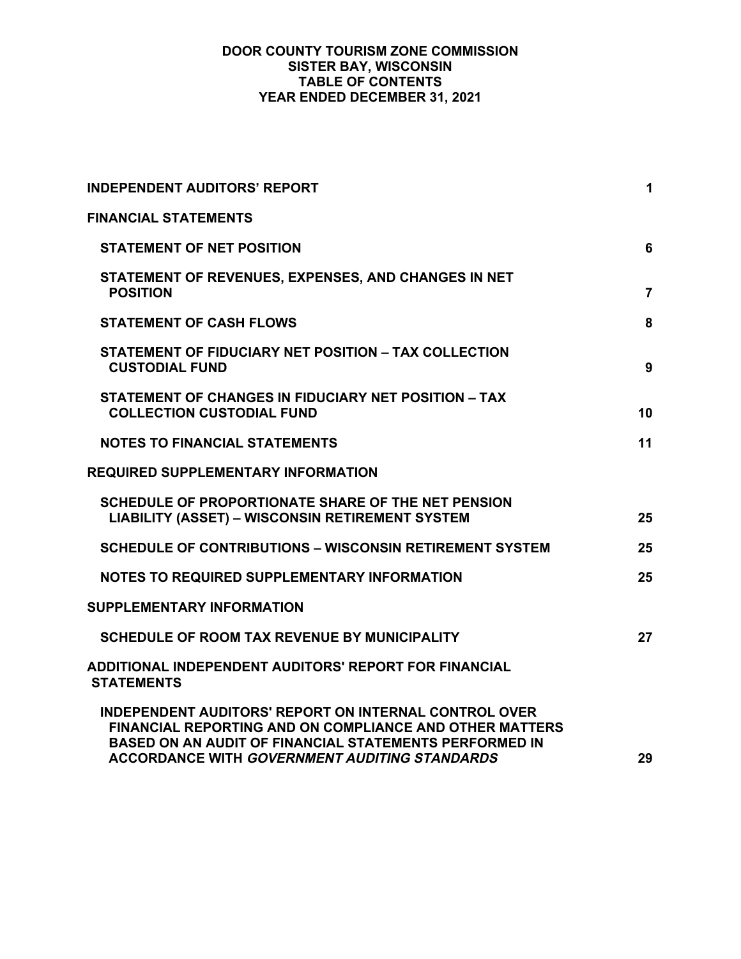### **DOOR COUNTY TOURISM ZONE COMMISSION SISTER BAY, WISCONSIN TABLE OF CONTENTS YEAR ENDED DECEMBER 31, 2021**

| <b>INDEPENDENT AUDITORS' REPORT</b>                                                                                                                                                                                                                     | 1              |
|---------------------------------------------------------------------------------------------------------------------------------------------------------------------------------------------------------------------------------------------------------|----------------|
| <b>FINANCIAL STATEMENTS</b>                                                                                                                                                                                                                             |                |
| <b>STATEMENT OF NET POSITION</b>                                                                                                                                                                                                                        | 6              |
| STATEMENT OF REVENUES, EXPENSES, AND CHANGES IN NET<br><b>POSITION</b>                                                                                                                                                                                  | $\overline{7}$ |
| <b>STATEMENT OF CASH FLOWS</b>                                                                                                                                                                                                                          | 8              |
| STATEMENT OF FIDUCIARY NET POSITION - TAX COLLECTION<br><b>CUSTODIAL FUND</b>                                                                                                                                                                           | 9              |
| STATEMENT OF CHANGES IN FIDUCIARY NET POSITION - TAX<br><b>COLLECTION CUSTODIAL FUND</b>                                                                                                                                                                | 10             |
| <b>NOTES TO FINANCIAL STATEMENTS</b>                                                                                                                                                                                                                    | 11             |
| <b>REQUIRED SUPPLEMENTARY INFORMATION</b>                                                                                                                                                                                                               |                |
| SCHEDULE OF PROPORTIONATE SHARE OF THE NET PENSION<br><b>LIABILITY (ASSET) - WISCONSIN RETIREMENT SYSTEM</b>                                                                                                                                            | 25             |
| <b>SCHEDULE OF CONTRIBUTIONS - WISCONSIN RETIREMENT SYSTEM</b>                                                                                                                                                                                          | 25             |
| NOTES TO REQUIRED SUPPLEMENTARY INFORMATION                                                                                                                                                                                                             | 25             |
| <b>SUPPLEMENTARY INFORMATION</b>                                                                                                                                                                                                                        |                |
| SCHEDULE OF ROOM TAX REVENUE BY MUNICIPALITY                                                                                                                                                                                                            | 27             |
| ADDITIONAL INDEPENDENT AUDITORS' REPORT FOR FINANCIAL<br><b>STATEMENTS</b>                                                                                                                                                                              |                |
| <b>INDEPENDENT AUDITORS' REPORT ON INTERNAL CONTROL OVER</b><br><b>FINANCIAL REPORTING AND ON COMPLIANCE AND OTHER MATTERS</b><br><b>BASED ON AN AUDIT OF FINANCIAL STATEMENTS PERFORMED IN</b><br><b>ACCORDANCE WITH GOVERNMENT AUDITING STANDARDS</b> | 29             |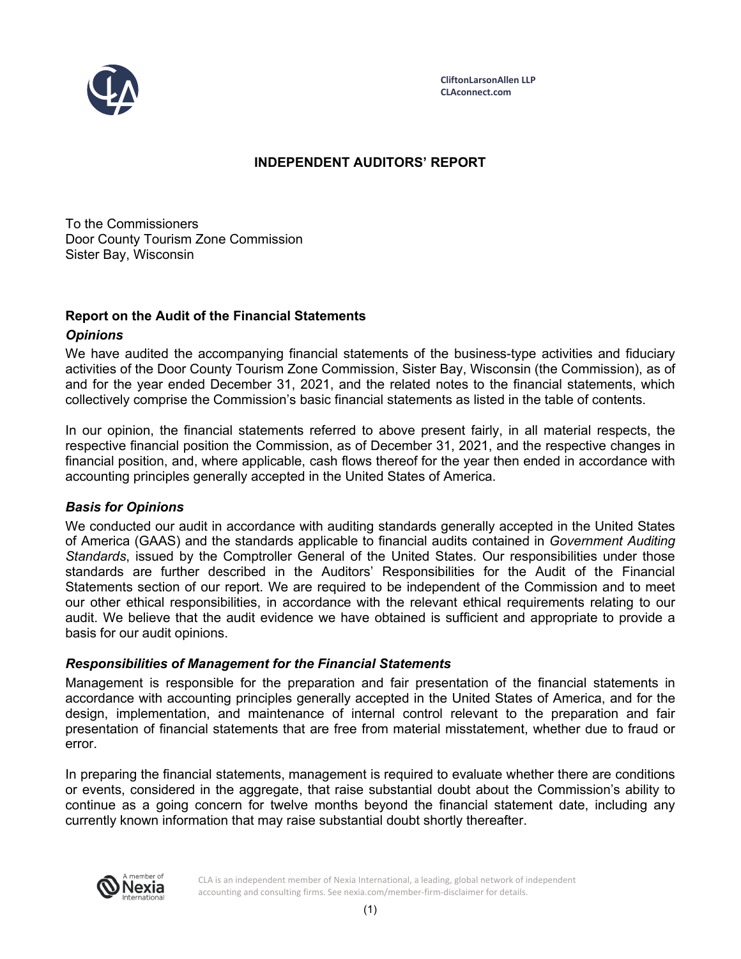

# **INDEPENDENT AUDITORS' REPORT**

To the Commissioners Door County Tourism Zone Commission Sister Bay, Wisconsin

### **Report on the Audit of the Financial Statements**

### *Opinions*

We have audited the accompanying financial statements of the business-type activities and fiduciary activities of the Door County Tourism Zone Commission, Sister Bay, Wisconsin (the Commission), as of and for the year ended December 31, 2021, and the related notes to the financial statements, which collectively comprise the Commission's basic financial statements as listed in the table of contents.

In our opinion, the financial statements referred to above present fairly, in all material respects, the respective financial position the Commission, as of December 31, 2021, and the respective changes in financial position, and, where applicable, cash flows thereof for the year then ended in accordance with accounting principles generally accepted in the United States of America.

### *Basis for Opinions*

We conducted our audit in accordance with auditing standards generally accepted in the United States of America (GAAS) and the standards applicable to financial audits contained in *Government Auditing Standards*, issued by the Comptroller General of the United States. Our responsibilities under those standards are further described in the Auditors' Responsibilities for the Audit of the Financial Statements section of our report. We are required to be independent of the Commission and to meet our other ethical responsibilities, in accordance with the relevant ethical requirements relating to our audit. We believe that the audit evidence we have obtained is sufficient and appropriate to provide a basis for our audit opinions.

### *Responsibilities of Management for the Financial Statements*

Management is responsible for the preparation and fair presentation of the financial statements in accordance with accounting principles generally accepted in the United States of America, and for the design, implementation, and maintenance of internal control relevant to the preparation and fair presentation of financial statements that are free from material misstatement, whether due to fraud or error.

In preparing the financial statements, management is required to evaluate whether there are conditions or events, considered in the aggregate, that raise substantial doubt about the Commission's ability to continue as a going concern for twelve months beyond the financial statement date, including any currently known information that may raise substantial doubt shortly thereafter.



CLA is an independent member of Nexia International, a leading, global network of independent accounting and consulting firms. See nexia.com/member-firm-disclaimer for details.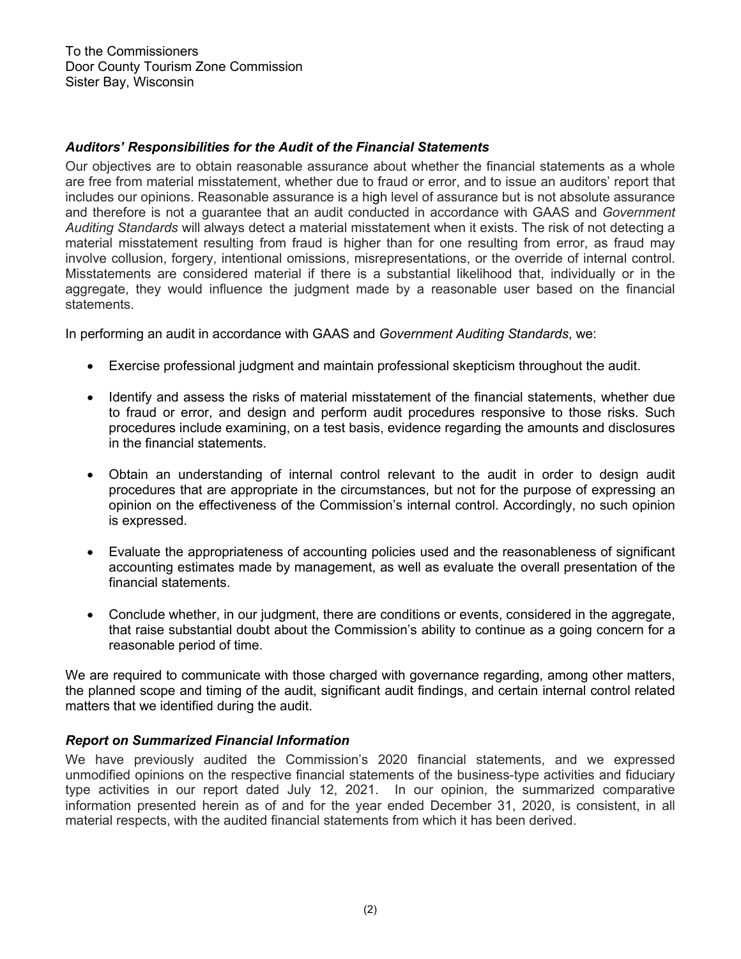### *Auditors' Responsibilities for the Audit of the Financial Statements*

Our objectives are to obtain reasonable assurance about whether the financial statements as a whole are free from material misstatement, whether due to fraud or error, and to issue an auditors' report that includes our opinions. Reasonable assurance is a high level of assurance but is not absolute assurance and therefore is not a guarantee that an audit conducted in accordance with GAAS and *Government Auditing Standards* will always detect a material misstatement when it exists. The risk of not detecting a material misstatement resulting from fraud is higher than for one resulting from error, as fraud may involve collusion, forgery, intentional omissions, misrepresentations, or the override of internal control. Misstatements are considered material if there is a substantial likelihood that, individually or in the aggregate, they would influence the judgment made by a reasonable user based on the financial statements.

In performing an audit in accordance with GAAS and *Government Auditing Standards*, we:

- Exercise professional judgment and maintain professional skepticism throughout the audit.
- Identify and assess the risks of material misstatement of the financial statements, whether due to fraud or error, and design and perform audit procedures responsive to those risks. Such procedures include examining, on a test basis, evidence regarding the amounts and disclosures in the financial statements.
- Obtain an understanding of internal control relevant to the audit in order to design audit procedures that are appropriate in the circumstances, but not for the purpose of expressing an opinion on the effectiveness of the Commission's internal control. Accordingly, no such opinion is expressed.
- Evaluate the appropriateness of accounting policies used and the reasonableness of significant accounting estimates made by management, as well as evaluate the overall presentation of the financial statements.
- Conclude whether, in our judgment, there are conditions or events, considered in the aggregate, that raise substantial doubt about the Commission's ability to continue as a going concern for a reasonable period of time.

We are required to communicate with those charged with governance regarding, among other matters, the planned scope and timing of the audit, significant audit findings, and certain internal control related matters that we identified during the audit.

### *Report on Summarized Financial Information*

We have previously audited the Commission's 2020 financial statements, and we expressed unmodified opinions on the respective financial statements of the business-type activities and fiduciary type activities in our report dated July 12, 2021. In our opinion, the summarized comparative information presented herein as of and for the year ended December 31, 2020, is consistent, in all material respects, with the audited financial statements from which it has been derived.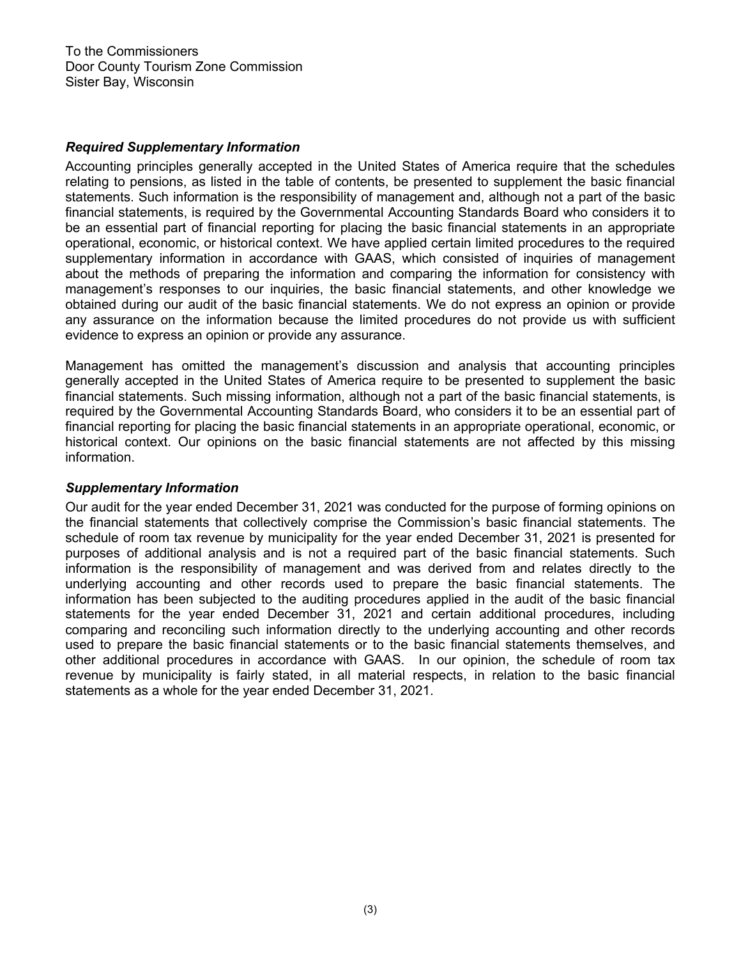To the Commissioners Door County Tourism Zone Commission Sister Bay, Wisconsin

#### *Required Supplementary Information*

Accounting principles generally accepted in the United States of America require that the schedules relating to pensions, as listed in the table of contents, be presented to supplement the basic financial statements. Such information is the responsibility of management and, although not a part of the basic financial statements, is required by the Governmental Accounting Standards Board who considers it to be an essential part of financial reporting for placing the basic financial statements in an appropriate operational, economic, or historical context. We have applied certain limited procedures to the required supplementary information in accordance with GAAS, which consisted of inquiries of management about the methods of preparing the information and comparing the information for consistency with management's responses to our inquiries, the basic financial statements, and other knowledge we obtained during our audit of the basic financial statements. We do not express an opinion or provide any assurance on the information because the limited procedures do not provide us with sufficient evidence to express an opinion or provide any assurance.

Management has omitted the management's discussion and analysis that accounting principles generally accepted in the United States of America require to be presented to supplement the basic financial statements. Such missing information, although not a part of the basic financial statements, is required by the Governmental Accounting Standards Board, who considers it to be an essential part of financial reporting for placing the basic financial statements in an appropriate operational, economic, or historical context. Our opinions on the basic financial statements are not affected by this missing information.

#### *Supplementary Information*

Our audit for the year ended December 31, 2021 was conducted for the purpose of forming opinions on the financial statements that collectively comprise the Commission's basic financial statements. The schedule of room tax revenue by municipality for the year ended December 31, 2021 is presented for purposes of additional analysis and is not a required part of the basic financial statements. Such information is the responsibility of management and was derived from and relates directly to the underlying accounting and other records used to prepare the basic financial statements. The information has been subjected to the auditing procedures applied in the audit of the basic financial statements for the year ended December 31, 2021 and certain additional procedures, including comparing and reconciling such information directly to the underlying accounting and other records used to prepare the basic financial statements or to the basic financial statements themselves, and other additional procedures in accordance with GAAS. In our opinion, the schedule of room tax revenue by municipality is fairly stated, in all material respects, in relation to the basic financial statements as a whole for the year ended December 31, 2021.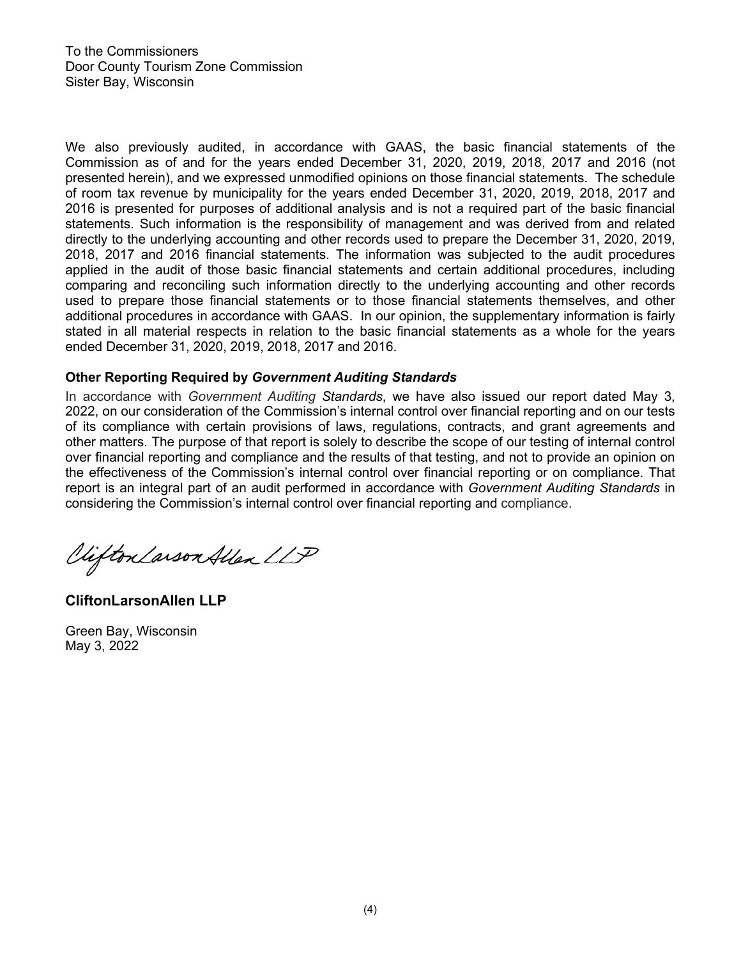To the Commissioners Door County Tourism Zone Commission Sister Bay, Wisconsin

We also previously audited, in accordance with GAAS, the basic financial statements of the Commission as of and for the years ended December 31, 2020, 2019, 2018, 2017 and 2016 (not presented herein), and we expressed unmodified opinions on those financial statements. The schedule of room tax revenue by municipality for the years ended December 31, 2020, 2019, 2018, 2017 and 2016 is presented for purposes of additional analysis and is not a required part of the basic financial statements. Such information is the responsibility of management and was derived from and related directly to the underlying accounting and other records used to prepare the December 31, 2020, 2019, 2018, 2017 and 2016 financial statements. The information was subjected to the audit procedures applied in the audit of those basic financial statements and certain additional procedures, including comparing and reconciling such information directly to the underlying accounting and other records used to prepare those financial statements or to those financial statements themselves, and other additional procedures in accordance with GAAS. In our opinion, the supplementary information is fairly stated in all material respects in relation to the basic financial statements as a whole for the years ended December 31, 2020, 2019, 2018, 2017 and 2016.

### **Other Reporting Required by** *Government Auditing Standards*

In accordance with *Government Auditing Standards*, we have also issued our report dated May 3, 2022, on our consideration of the Commission's internal control over financial reporting and on our tests of its compliance with certain provisions of laws, regulations, contracts, and grant agreements and other matters. The purpose of that report is solely to describe the scope of our testing of internal control over financial reporting and compliance and the results of that testing, and not to provide an opinion on the effectiveness of the Commission's internal control over financial reporting or on compliance. That report is an integral part of an audit performed in accordance with *Government Auditing Standards* in considering the Commission's internal control over financial reporting and compliance.

Viifton Larson Allen LLP

**CliftonLarsonAllen LLP**

Green Bay, Wisconsin May 3, 2022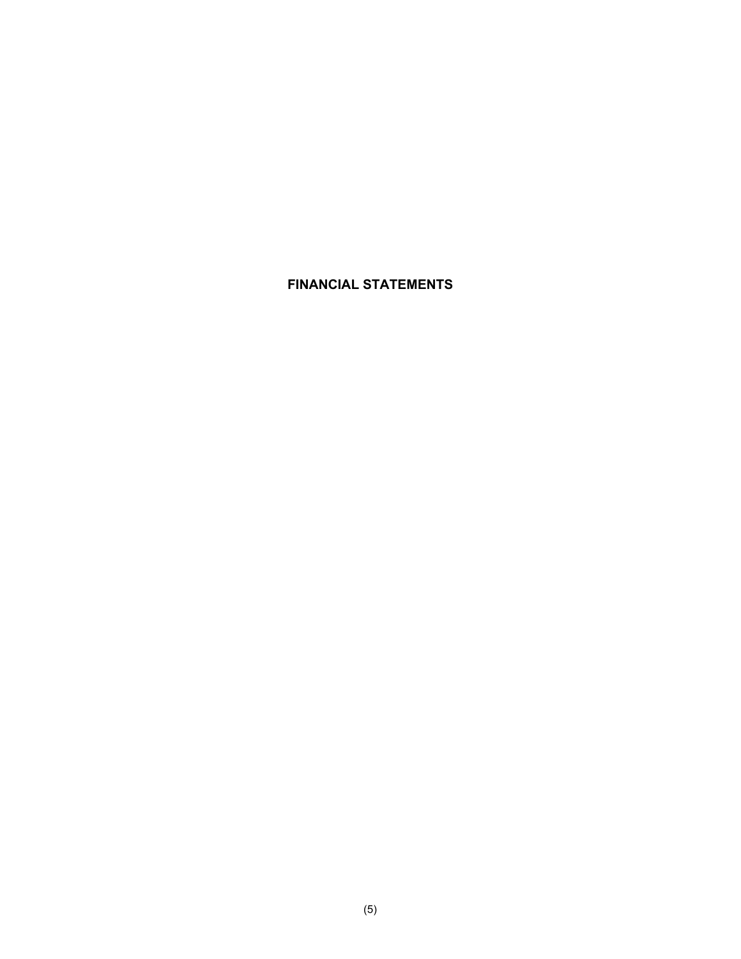# **FINANCIAL STATEMENTS**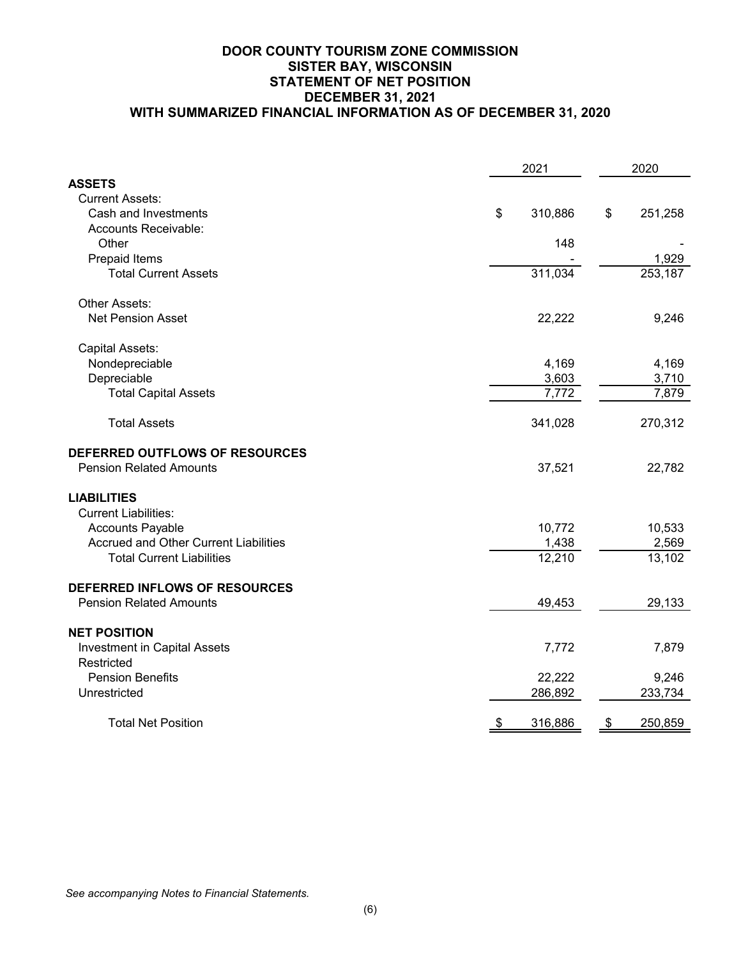### **DOOR COUNTY TOURISM ZONE COMMISSION SISTER BAY, WISCONSIN STATEMENT OF NET POSITION DECEMBER 31, 2021 WITH SUMMARIZED FINANCIAL INFORMATION AS OF DECEMBER 31, 2020**

|                                       | 2021                | 2020                 |
|---------------------------------------|---------------------|----------------------|
| <b>ASSETS</b>                         |                     |                      |
| <b>Current Assets:</b>                |                     |                      |
| Cash and Investments                  | \$<br>310,886       | \$<br>251,258        |
| Accounts Receivable:                  |                     |                      |
| Other                                 |                     | 148                  |
| Prepaid Items                         |                     | 1,929                |
| <b>Total Current Assets</b>           | 311,034             | 253,187              |
| Other Assets:                         |                     |                      |
| <b>Net Pension Asset</b>              | 22,222              | 9,246                |
| Capital Assets:                       |                     |                      |
| Nondepreciable                        | 4,169               | 4,169                |
| Depreciable                           | 3,603               | 3,710                |
| <b>Total Capital Assets</b>           | 7,772               | 7,879                |
| <b>Total Assets</b>                   | 341,028             | 270,312              |
| DEFERRED OUTFLOWS OF RESOURCES        |                     |                      |
| <b>Pension Related Amounts</b>        | 37,521              | 22,782               |
| <b>LIABILITIES</b>                    |                     |                      |
| <b>Current Liabilities:</b>           |                     |                      |
| <b>Accounts Payable</b>               | 10,772              | 10,533               |
| Accrued and Other Current Liabilities | 1,438               | 2,569                |
| <b>Total Current Liabilities</b>      | $\overline{12,210}$ | 13,102               |
| DEFERRED INFLOWS OF RESOURCES         |                     |                      |
| <b>Pension Related Amounts</b>        | 49,453              | 29,133               |
| <b>NET POSITION</b>                   |                     |                      |
| <b>Investment in Capital Assets</b>   | 7,772               | 7,879                |
| Restricted                            |                     |                      |
| <b>Pension Benefits</b>               | 22,222              | 9,246                |
| Unrestricted                          | 286,892             | 233,734              |
| <b>Total Net Position</b>             | 316,886<br>\$       | 250,859<br><u>\$</u> |

*See accompanying Notes to Financial Statements.*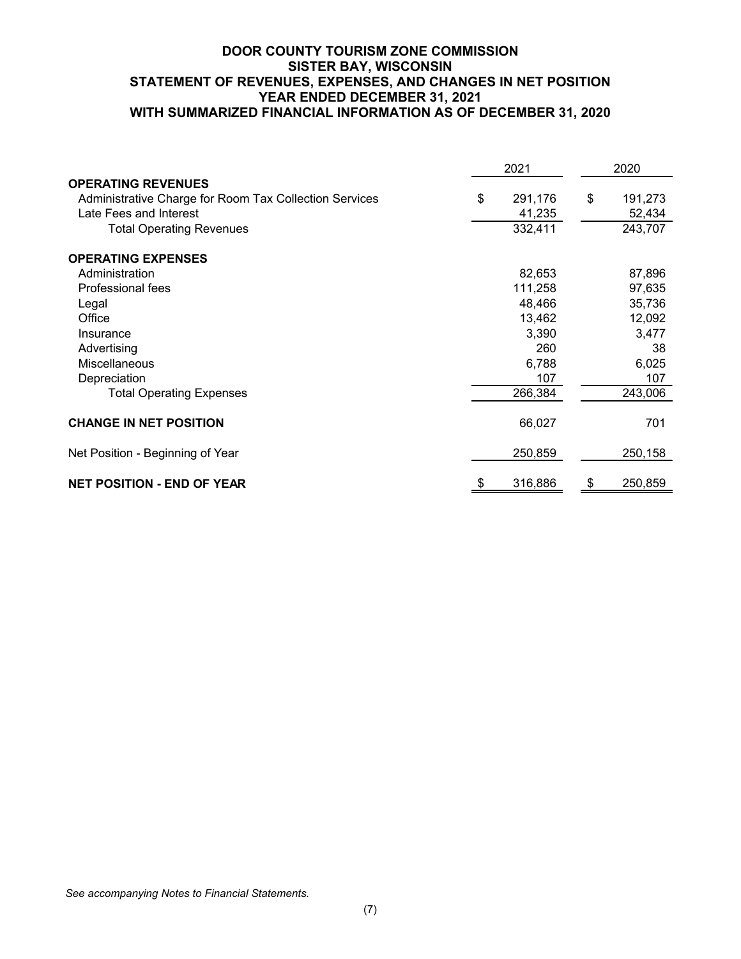#### **DOOR COUNTY TOURISM ZONE COMMISSION SISTER BAY, WISCONSIN STATEMENT OF REVENUES, EXPENSES, AND CHANGES IN NET POSITION YEAR ENDED DECEMBER 31, 2021 WITH SUMMARIZED FINANCIAL INFORMATION AS OF DECEMBER 31, 2020**

|                                                        | 2021 |         | 2020          |  |
|--------------------------------------------------------|------|---------|---------------|--|
| <b>OPERATING REVENUES</b>                              |      |         |               |  |
| Administrative Charge for Room Tax Collection Services | \$   | 291,176 | \$<br>191,273 |  |
| Late Fees and Interest                                 |      | 41,235  | 52,434        |  |
| <b>Total Operating Revenues</b>                        |      | 332,411 | 243,707       |  |
| <b>OPERATING EXPENSES</b>                              |      |         |               |  |
| Administration                                         |      | 82,653  | 87,896        |  |
| Professional fees                                      |      | 111,258 | 97,635        |  |
| Legal                                                  |      | 48,466  | 35,736        |  |
| Office                                                 |      | 13,462  | 12,092        |  |
| Insurance                                              |      | 3,390   | 3,477         |  |
| Advertising                                            |      | 260     | 38            |  |
| Miscellaneous                                          |      | 6,788   | 6,025         |  |
| Depreciation                                           |      | 107     | 107           |  |
| <b>Total Operating Expenses</b>                        |      | 266,384 | 243,006       |  |
| <b>CHANGE IN NET POSITION</b>                          |      | 66,027  | 701           |  |
| Net Position - Beginning of Year                       |      | 250,859 | 250,158       |  |
| <b>NET POSITION - END OF YEAR</b>                      |      | 316,886 | 250,859       |  |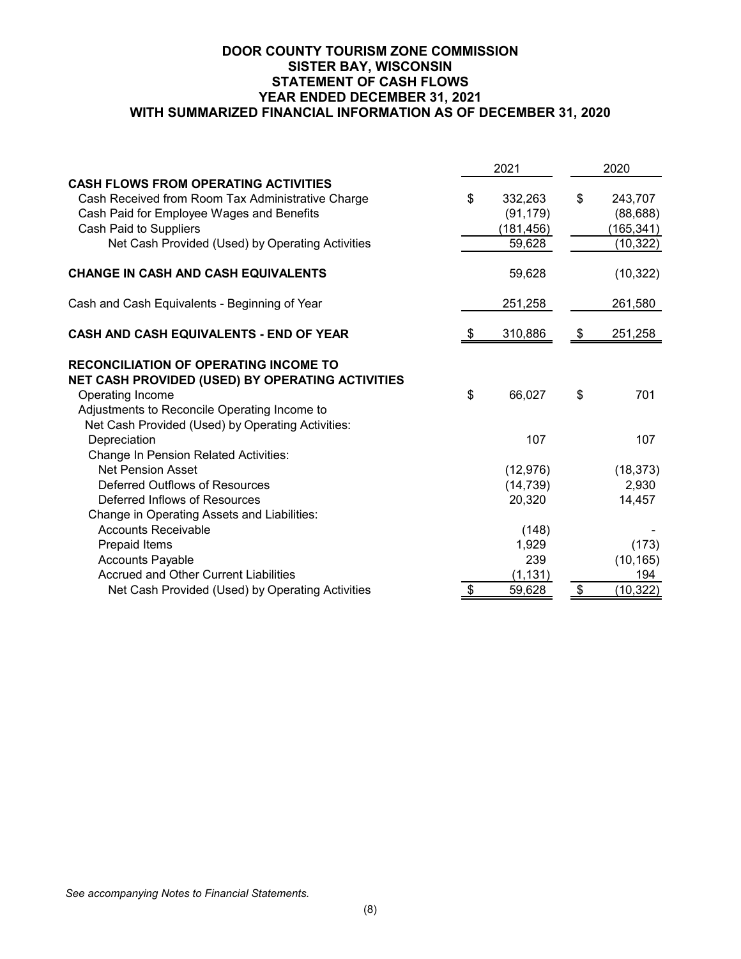#### **DOOR COUNTY TOURISM ZONE COMMISSION SISTER BAY, WISCONSIN STATEMENT OF CASH FLOWS YEAR ENDED DECEMBER 31, 2021 WITH SUMMARIZED FINANCIAL INFORMATION AS OF DECEMBER 31, 2020**

|                                                                                                                                                                                                                             | 2021 |                                              |     | 2020                                            |  |
|-----------------------------------------------------------------------------------------------------------------------------------------------------------------------------------------------------------------------------|------|----------------------------------------------|-----|-------------------------------------------------|--|
| <b>CASH FLOWS FROM OPERATING ACTIVITIES</b><br>Cash Received from Room Tax Administrative Charge<br>Cash Paid for Employee Wages and Benefits<br>Cash Paid to Suppliers<br>Net Cash Provided (Used) by Operating Activities | \$   | 332,263<br>(91, 179)<br>(181, 456)<br>59,628 | \$  | 243,707<br>(88, 688)<br>(165, 341)<br>(10, 322) |  |
| <b>CHANGE IN CASH AND CASH EQUIVALENTS</b>                                                                                                                                                                                  |      | 59,628                                       |     | (10, 322)                                       |  |
| Cash and Cash Equivalents - Beginning of Year                                                                                                                                                                               |      | 251,258                                      |     | 261,580                                         |  |
| CASH AND CASH EQUIVALENTS - END OF YEAR                                                                                                                                                                                     | S.   | 310,886                                      | -\$ | 251,258                                         |  |
| <b>RECONCILIATION OF OPERATING INCOME TO</b><br>NET CASH PROVIDED (USED) BY OPERATING ACTIVITIES<br>Operating Income<br>Adjustments to Reconcile Operating Income to<br>Net Cash Provided (Used) by Operating Activities:   | \$   | 66,027                                       | \$  | 701                                             |  |
| Depreciation                                                                                                                                                                                                                |      | 107                                          |     | 107                                             |  |
| <b>Change In Pension Related Activities:</b><br><b>Net Pension Asset</b><br>Deferred Outflows of Resources<br>Deferred Inflows of Resources<br>Change in Operating Assets and Liabilities:                                  |      | (12, 976)<br>(14, 739)<br>20,320             |     | (18, 373)<br>2,930<br>14,457                    |  |
| <b>Accounts Receivable</b><br>Prepaid Items                                                                                                                                                                                 |      | (148)<br>1,929                               |     | (173)                                           |  |
| <b>Accounts Payable</b><br><b>Accrued and Other Current Liabilities</b>                                                                                                                                                     |      | 239<br>(1, 131)                              |     | (10, 165)<br>194                                |  |
| Net Cash Provided (Used) by Operating Activities                                                                                                                                                                            | \$   | 59,628                                       | \$  | (10, 322)                                       |  |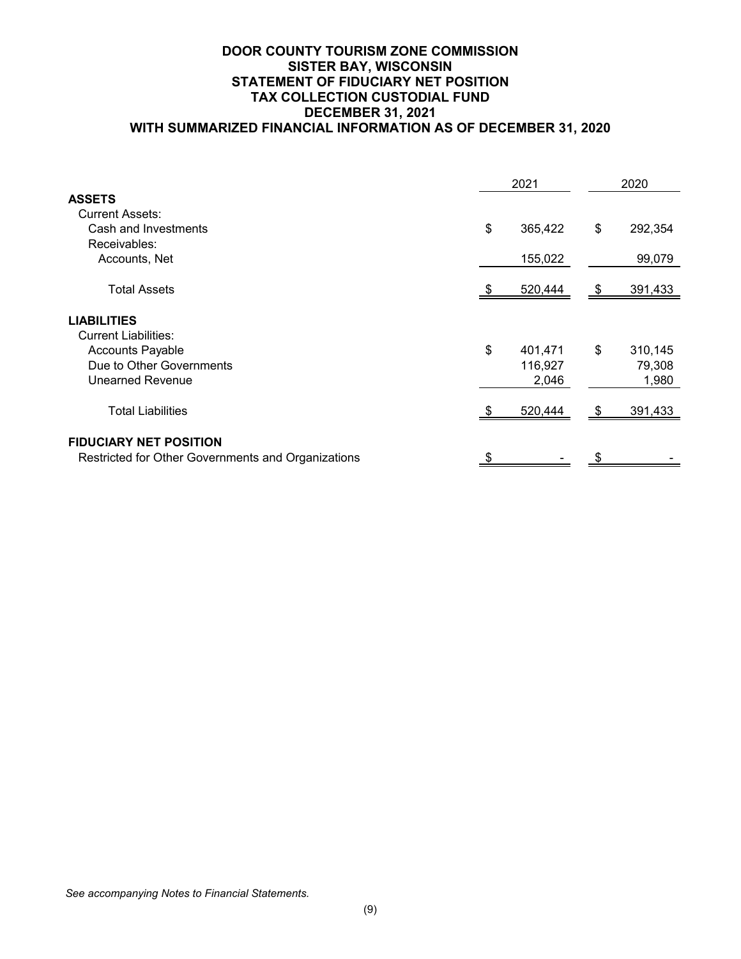#### **DOOR COUNTY TOURISM ZONE COMMISSION SISTER BAY, WISCONSIN STATEMENT OF FIDUCIARY NET POSITION TAX COLLECTION CUSTODIAL FUND DECEMBER 31, 2021 WITH SUMMARIZED FINANCIAL INFORMATION AS OF DECEMBER 31, 2020**

|                                                    | 2021 |         |      | 2020    |  |
|----------------------------------------------------|------|---------|------|---------|--|
| <b>ASSETS</b>                                      |      |         |      |         |  |
| <b>Current Assets:</b>                             |      |         |      |         |  |
| Cash and Investments                               | \$   | 365,422 | \$   | 292,354 |  |
| Receivables:                                       |      |         |      |         |  |
| Accounts, Net                                      |      | 155,022 |      | 99,079  |  |
|                                                    |      |         |      |         |  |
| <b>Total Assets</b>                                |      | 520,444 | - \$ | 391,433 |  |
|                                                    |      |         |      |         |  |
| <b>LIABILITIES</b>                                 |      |         |      |         |  |
| <b>Current Liabilities:</b>                        |      |         |      |         |  |
| <b>Accounts Payable</b>                            | \$   | 401,471 | \$   | 310,145 |  |
| Due to Other Governments                           |      | 116,927 |      | 79,308  |  |
| <b>Unearned Revenue</b>                            |      | 2,046   |      | 1,980   |  |
| <b>Total Liabilities</b>                           |      | 520,444 |      | 391,433 |  |
|                                                    |      |         |      |         |  |
| <b>FIDUCIARY NET POSITION</b>                      |      |         |      |         |  |
| Restricted for Other Governments and Organizations |      |         |      |         |  |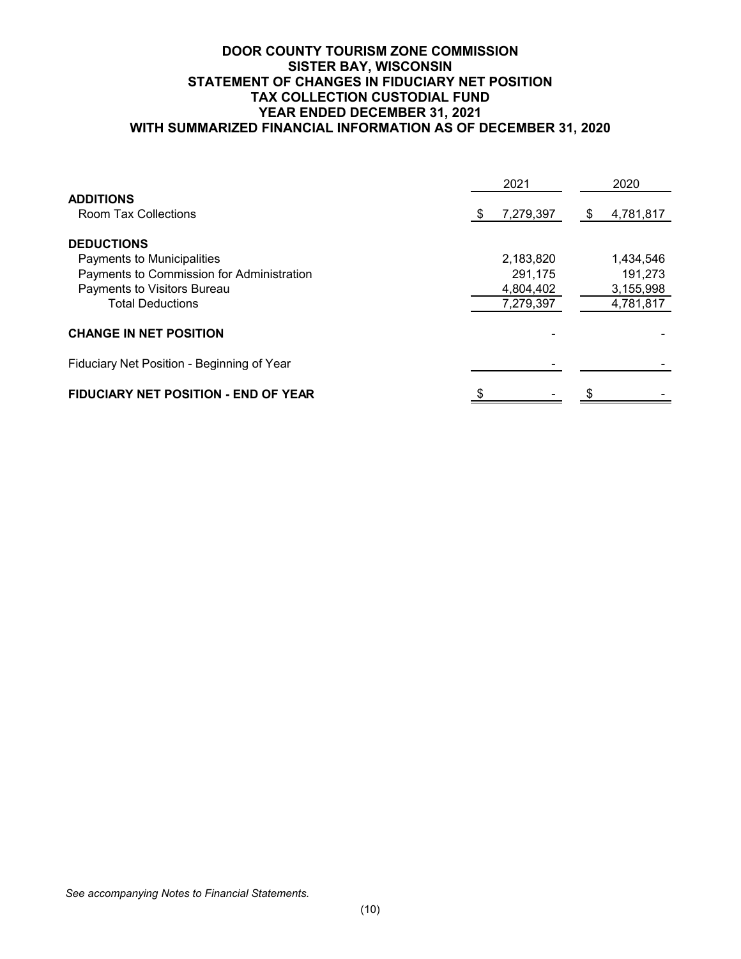#### **DOOR COUNTY TOURISM ZONE COMMISSION SISTER BAY, WISCONSIN STATEMENT OF CHANGES IN FIDUCIARY NET POSITION TAX COLLECTION CUSTODIAL FUND YEAR ENDED DECEMBER 31, 2021 WITH SUMMARIZED FINANCIAL INFORMATION AS OF DECEMBER 31, 2020**

|                                             |      | 2021      | 2020            |
|---------------------------------------------|------|-----------|-----------------|
| <b>ADDITIONS</b><br>Room Tax Collections    | - \$ | 7,279,397 | \$<br>4,781,817 |
| <b>DEDUCTIONS</b>                           |      |           |                 |
| Payments to Municipalities                  |      | 2,183,820 | 1,434,546       |
| Payments to Commission for Administration   |      | 291,175   | 191,273         |
| Payments to Visitors Bureau                 |      | 4,804,402 | 3,155,998       |
| <b>Total Deductions</b>                     |      | 7,279,397 | 4,781,817       |
| <b>CHANGE IN NET POSITION</b>               |      |           |                 |
| Fiduciary Net Position - Beginning of Year  |      |           |                 |
| <b>FIDUCIARY NET POSITION - END OF YEAR</b> |      |           |                 |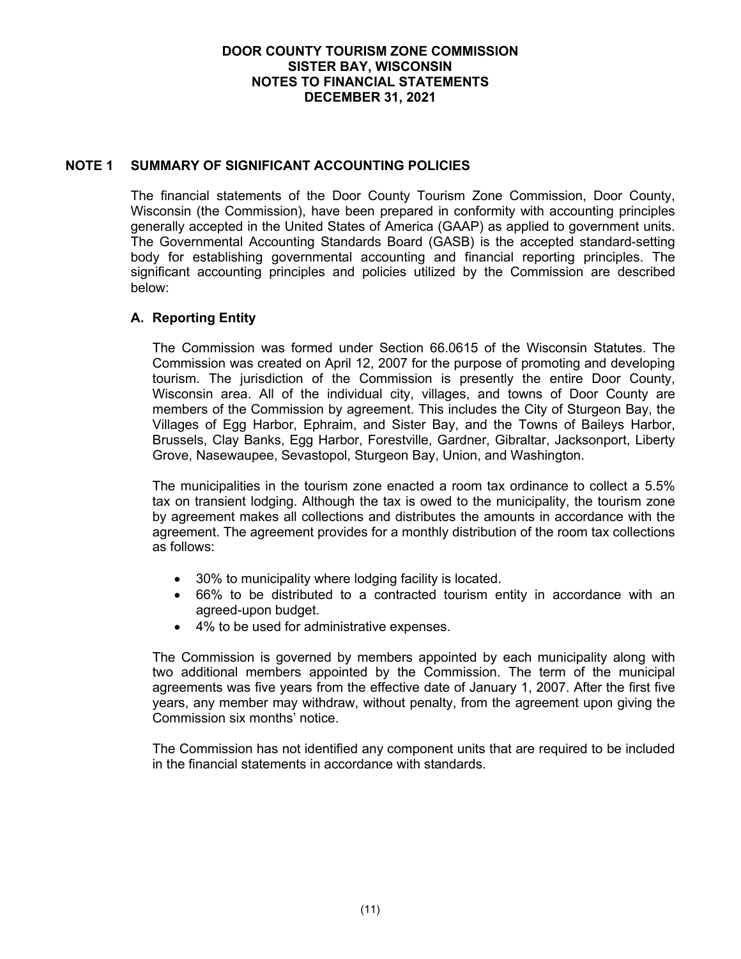### **NOTE 1 SUMMARY OF SIGNIFICANT ACCOUNTING POLICIES**

The financial statements of the Door County Tourism Zone Commission, Door County, Wisconsin (the Commission), have been prepared in conformity with accounting principles generally accepted in the United States of America (GAAP) as applied to government units. The Governmental Accounting Standards Board (GASB) is the accepted standard-setting body for establishing governmental accounting and financial reporting principles. The significant accounting principles and policies utilized by the Commission are described below:

### **A. Reporting Entity**

The Commission was formed under Section 66.0615 of the Wisconsin Statutes. The Commission was created on April 12, 2007 for the purpose of promoting and developing tourism. The jurisdiction of the Commission is presently the entire Door County, Wisconsin area. All of the individual city, villages, and towns of Door County are members of the Commission by agreement. This includes the City of Sturgeon Bay, the Villages of Egg Harbor, Ephraim, and Sister Bay, and the Towns of Baileys Harbor, Brussels, Clay Banks, Egg Harbor, Forestville, Gardner, Gibraltar, Jacksonport, Liberty Grove, Nasewaupee, Sevastopol, Sturgeon Bay, Union, and Washington.

The municipalities in the tourism zone enacted a room tax ordinance to collect a 5.5% tax on transient lodging. Although the tax is owed to the municipality, the tourism zone by agreement makes all collections and distributes the amounts in accordance with the agreement. The agreement provides for a monthly distribution of the room tax collections as follows:

- 30% to municipality where lodging facility is located.
- 66% to be distributed to a contracted tourism entity in accordance with an agreed-upon budget.
- 4% to be used for administrative expenses.

The Commission is governed by members appointed by each municipality along with two additional members appointed by the Commission. The term of the municipal agreements was five years from the effective date of January 1, 2007. After the first five years, any member may withdraw, without penalty, from the agreement upon giving the Commission six months' notice.

The Commission has not identified any component units that are required to be included in the financial statements in accordance with standards.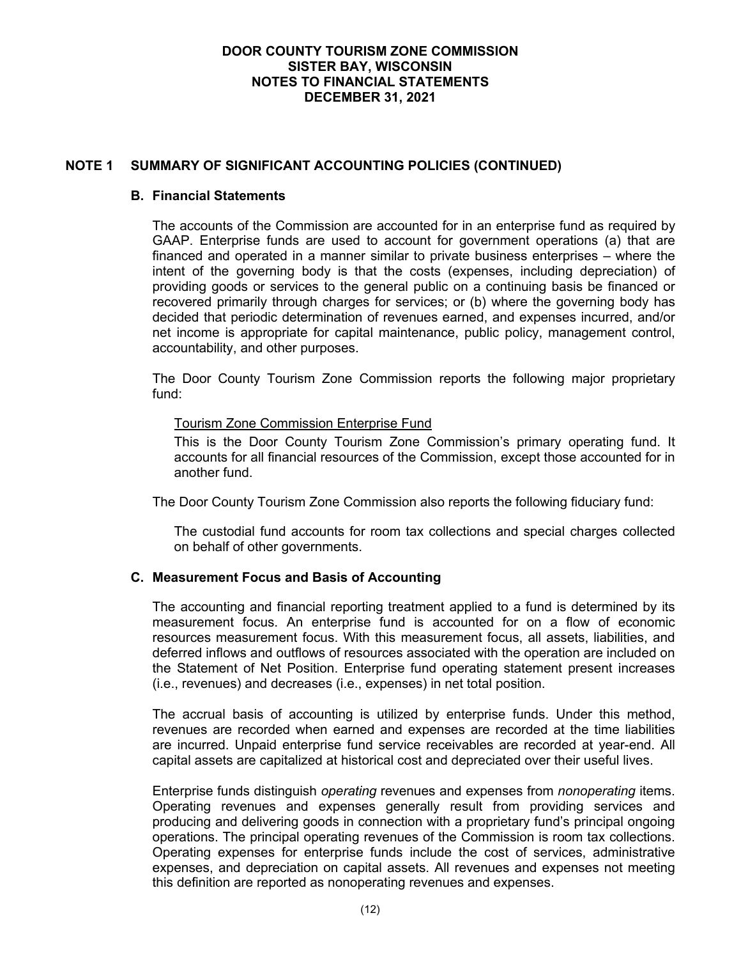## **NOTE 1 SUMMARY OF SIGNIFICANT ACCOUNTING POLICIES (CONTINUED)**

#### **B. Financial Statements**

The accounts of the Commission are accounted for in an enterprise fund as required by GAAP. Enterprise funds are used to account for government operations (a) that are financed and operated in a manner similar to private business enterprises – where the intent of the governing body is that the costs (expenses, including depreciation) of providing goods or services to the general public on a continuing basis be financed or recovered primarily through charges for services; or (b) where the governing body has decided that periodic determination of revenues earned, and expenses incurred, and/or net income is appropriate for capital maintenance, public policy, management control, accountability, and other purposes.

The Door County Tourism Zone Commission reports the following major proprietary fund:

### Tourism Zone Commission Enterprise Fund

This is the Door County Tourism Zone Commission's primary operating fund. It accounts for all financial resources of the Commission, except those accounted for in another fund.

The Door County Tourism Zone Commission also reports the following fiduciary fund:

The custodial fund accounts for room tax collections and special charges collected on behalf of other governments.

### **C. Measurement Focus and Basis of Accounting**

The accounting and financial reporting treatment applied to a fund is determined by its measurement focus. An enterprise fund is accounted for on a flow of economic resources measurement focus. With this measurement focus, all assets, liabilities, and deferred inflows and outflows of resources associated with the operation are included on the Statement of Net Position. Enterprise fund operating statement present increases (i.e., revenues) and decreases (i.e., expenses) in net total position.

The accrual basis of accounting is utilized by enterprise funds. Under this method, revenues are recorded when earned and expenses are recorded at the time liabilities are incurred. Unpaid enterprise fund service receivables are recorded at year-end. All capital assets are capitalized at historical cost and depreciated over their useful lives.

Enterprise funds distinguish *operating* revenues and expenses from *nonoperating* items. Operating revenues and expenses generally result from providing services and producing and delivering goods in connection with a proprietary fund's principal ongoing operations. The principal operating revenues of the Commission is room tax collections. Operating expenses for enterprise funds include the cost of services, administrative expenses, and depreciation on capital assets. All revenues and expenses not meeting this definition are reported as nonoperating revenues and expenses.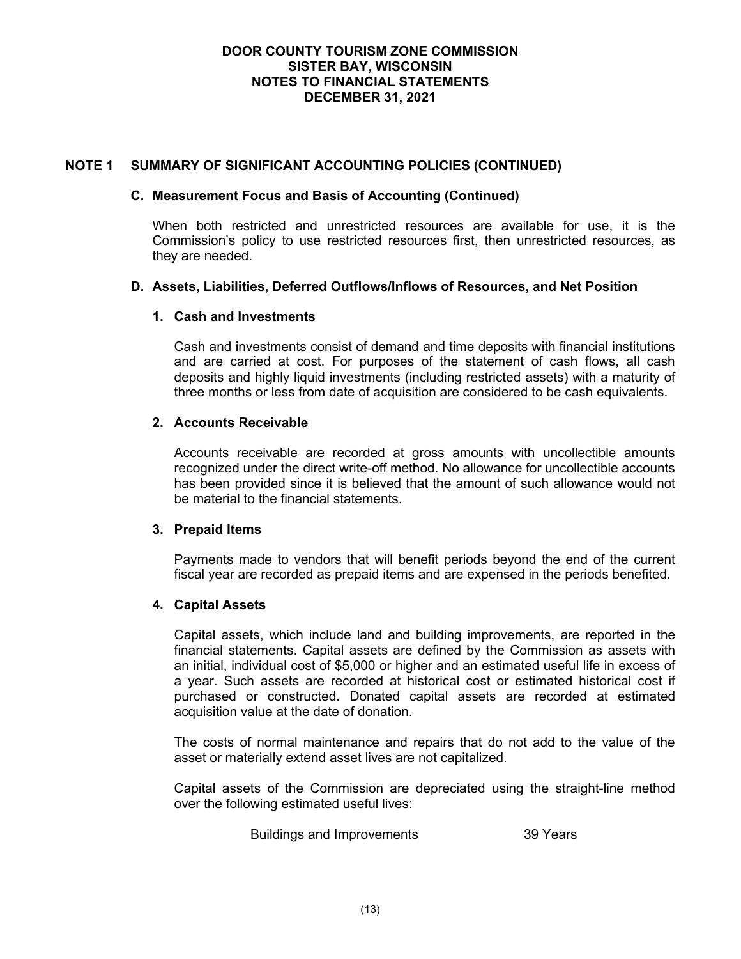### **NOTE 1 SUMMARY OF SIGNIFICANT ACCOUNTING POLICIES (CONTINUED)**

### **C. Measurement Focus and Basis of Accounting (Continued)**

When both restricted and unrestricted resources are available for use, it is the Commission's policy to use restricted resources first, then unrestricted resources, as they are needed.

### **D. Assets, Liabilities, Deferred Outflows/Inflows of Resources, and Net Position**

### **1. Cash and Investments**

Cash and investments consist of demand and time deposits with financial institutions and are carried at cost. For purposes of the statement of cash flows, all cash deposits and highly liquid investments (including restricted assets) with a maturity of three months or less from date of acquisition are considered to be cash equivalents.

### **2. Accounts Receivable**

Accounts receivable are recorded at gross amounts with uncollectible amounts recognized under the direct write-off method. No allowance for uncollectible accounts has been provided since it is believed that the amount of such allowance would not be material to the financial statements.

#### **3. Prepaid Items**

Payments made to vendors that will benefit periods beyond the end of the current fiscal year are recorded as prepaid items and are expensed in the periods benefited.

### **4. Capital Assets**

Capital assets, which include land and building improvements, are reported in the financial statements. Capital assets are defined by the Commission as assets with an initial, individual cost of \$5,000 or higher and an estimated useful life in excess of a year. Such assets are recorded at historical cost or estimated historical cost if purchased or constructed. Donated capital assets are recorded at estimated acquisition value at the date of donation.

The costs of normal maintenance and repairs that do not add to the value of the asset or materially extend asset lives are not capitalized.

Capital assets of the Commission are depreciated using the straight-line method over the following estimated useful lives:

Buildings and Improvements 39 Years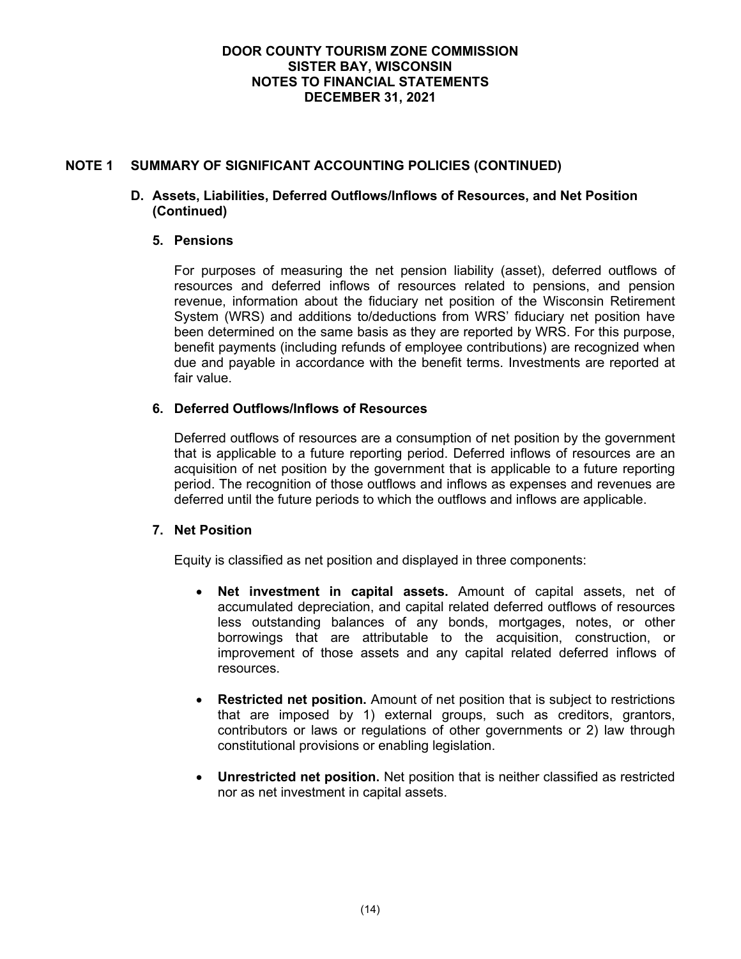# **NOTE 1 SUMMARY OF SIGNIFICANT ACCOUNTING POLICIES (CONTINUED)**

### **D. Assets, Liabilities, Deferred Outflows/Inflows of Resources, and Net Position (Continued)**

### **5. Pensions**

For purposes of measuring the net pension liability (asset), deferred outflows of resources and deferred inflows of resources related to pensions, and pension revenue, information about the fiduciary net position of the Wisconsin Retirement System (WRS) and additions to/deductions from WRS' fiduciary net position have been determined on the same basis as they are reported by WRS. For this purpose, benefit payments (including refunds of employee contributions) are recognized when due and payable in accordance with the benefit terms. Investments are reported at fair value.

# **6. Deferred Outflows/Inflows of Resources**

Deferred outflows of resources are a consumption of net position by the government that is applicable to a future reporting period. Deferred inflows of resources are an acquisition of net position by the government that is applicable to a future reporting period. The recognition of those outflows and inflows as expenses and revenues are deferred until the future periods to which the outflows and inflows are applicable.

### **7. Net Position**

Equity is classified as net position and displayed in three components:

- **Net investment in capital assets.** Amount of capital assets, net of accumulated depreciation, and capital related deferred outflows of resources less outstanding balances of any bonds, mortgages, notes, or other borrowings that are attributable to the acquisition, construction, or improvement of those assets and any capital related deferred inflows of resources.
- **Restricted net position.** Amount of net position that is subject to restrictions that are imposed by 1) external groups, such as creditors, grantors, contributors or laws or regulations of other governments or 2) law through constitutional provisions or enabling legislation.
- **Unrestricted net position.** Net position that is neither classified as restricted nor as net investment in capital assets.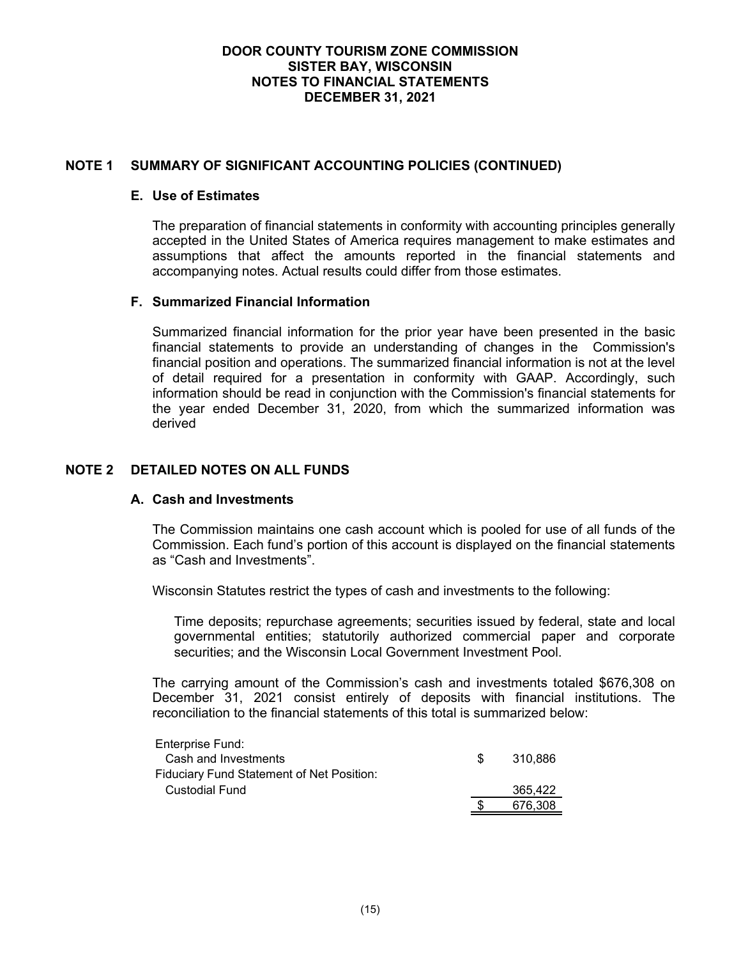### **NOTE 1 SUMMARY OF SIGNIFICANT ACCOUNTING POLICIES (CONTINUED)**

#### **E. Use of Estimates**

The preparation of financial statements in conformity with accounting principles generally accepted in the United States of America requires management to make estimates and assumptions that affect the amounts reported in the financial statements and accompanying notes. Actual results could differ from those estimates.

### **F. Summarized Financial Information**

Summarized financial information for the prior year have been presented in the basic financial statements to provide an understanding of changes in the Commission's financial position and operations. The summarized financial information is not at the level of detail required for a presentation in conformity with GAAP. Accordingly, such information should be read in conjunction with the Commission's financial statements for the year ended December 31, 2020, from which the summarized information was derived

### **NOTE 2 DETAILED NOTES ON ALL FUNDS**

### **A. Cash and Investments**

The Commission maintains one cash account which is pooled for use of all funds of the Commission. Each fund's portion of this account is displayed on the financial statements as "Cash and Investments".

Wisconsin Statutes restrict the types of cash and investments to the following:

Time deposits; repurchase agreements; securities issued by federal, state and local governmental entities; statutorily authorized commercial paper and corporate securities; and the Wisconsin Local Government Investment Pool.

The carrying amount of the Commission's cash and investments totaled \$676,308 on December 31, 2021 consist entirely of deposits with financial institutions. The reconciliation to the financial statements of this total is summarized below:

| Enterprise Fund:                          |     |         |
|-------------------------------------------|-----|---------|
| Cash and Investments                      | -SS | 310.886 |
| Fiduciary Fund Statement of Net Position: |     |         |
| <b>Custodial Fund</b>                     |     | 365.422 |
|                                           |     | 676.308 |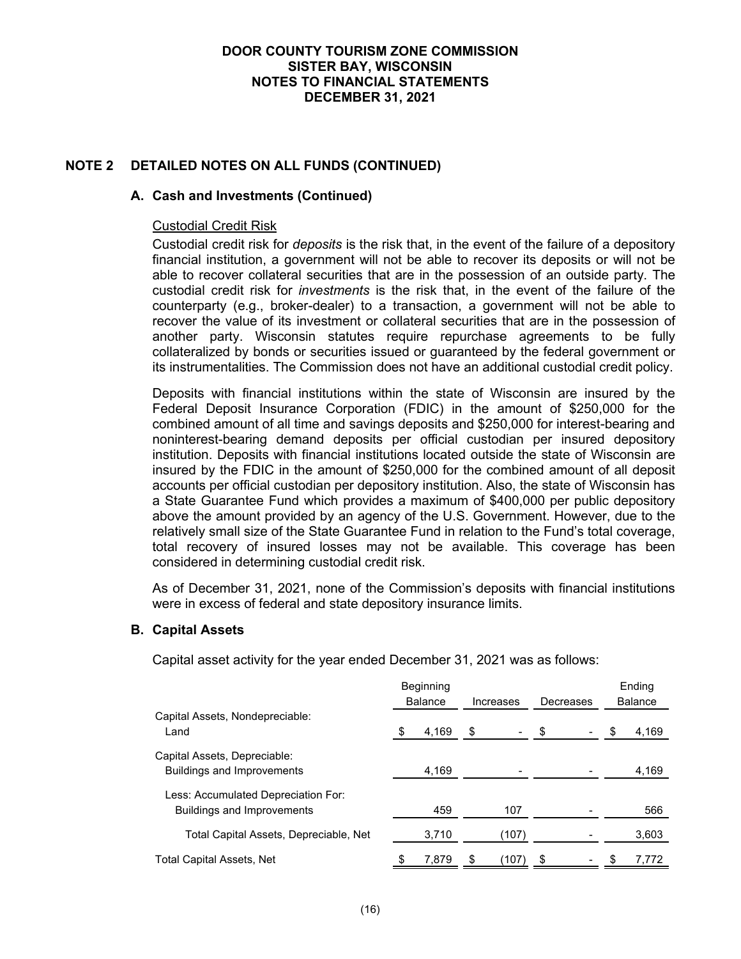### **NOTE 2 DETAILED NOTES ON ALL FUNDS (CONTINUED)**

### **A. Cash and Investments (Continued)**

#### Custodial Credit Risk

Custodial credit risk for *deposits* is the risk that, in the event of the failure of a depository financial institution, a government will not be able to recover its deposits or will not be able to recover collateral securities that are in the possession of an outside party. The custodial credit risk for *investments* is the risk that, in the event of the failure of the counterparty (e.g., broker-dealer) to a transaction, a government will not be able to recover the value of its investment or collateral securities that are in the possession of another party. Wisconsin statutes require repurchase agreements to be fully collateralized by bonds or securities issued or guaranteed by the federal government or its instrumentalities. The Commission does not have an additional custodial credit policy.

Deposits with financial institutions within the state of Wisconsin are insured by the Federal Deposit Insurance Corporation (FDIC) in the amount of \$250,000 for the combined amount of all time and savings deposits and \$250,000 for interest-bearing and noninterest-bearing demand deposits per official custodian per insured depository institution. Deposits with financial institutions located outside the state of Wisconsin are insured by the FDIC in the amount of \$250,000 for the combined amount of all deposit accounts per official custodian per depository institution. Also, the state of Wisconsin has a State Guarantee Fund which provides a maximum of \$400,000 per public depository above the amount provided by an agency of the U.S. Government. However, due to the relatively small size of the State Guarantee Fund in relation to the Fund's total coverage, total recovery of insured losses may not be available. This coverage has been considered in determining custodial credit risk.

As of December 31, 2021, none of the Commission's deposits with financial institutions were in excess of federal and state depository insurance limits.

### **B. Capital Assets**

Capital asset activity for the year ended December 31, 2021 was as follows:

|                                                                          |  | Increases |    | <b>Beginning</b><br><b>Balance</b><br>Decreases |    |    |       |  |  | Ending<br><b>Balance</b> |  |
|--------------------------------------------------------------------------|--|-----------|----|-------------------------------------------------|----|----|-------|--|--|--------------------------|--|
| Capital Assets, Nondepreciable:<br>Land                                  |  | 4.169     | \$ |                                                 | \$ | \$ | 4,169 |  |  |                          |  |
| Capital Assets, Depreciable:<br><b>Buildings and Improvements</b>        |  | 4,169     |    |                                                 |    |    | 4,169 |  |  |                          |  |
| Less: Accumulated Depreciation For:<br><b>Buildings and Improvements</b> |  | 459       |    | 107                                             |    |    | 566   |  |  |                          |  |
| Total Capital Assets, Depreciable, Net                                   |  | 3,710     |    | (107)                                           |    |    | 3,603 |  |  |                          |  |
| Total Capital Assets, Net                                                |  | 7,879     |    | $^{\prime}$ 107 $^{\prime}$                     |    |    | 7,772 |  |  |                          |  |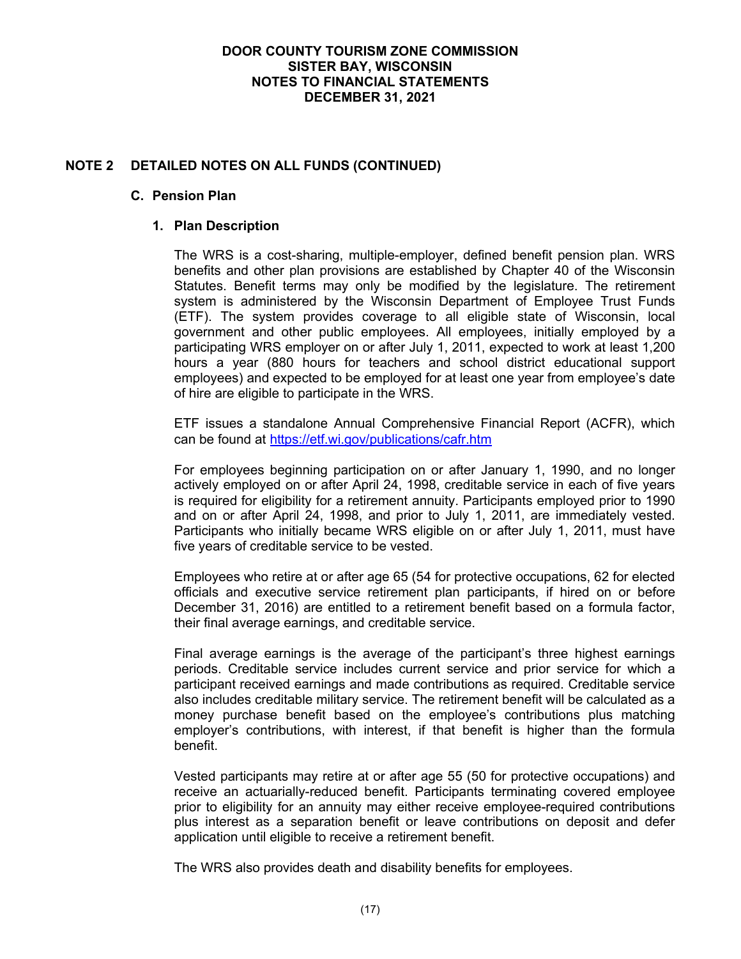### **NOTE 2 DETAILED NOTES ON ALL FUNDS (CONTINUED)**

#### **C. Pension Plan**

### **1. Plan Description**

The WRS is a cost-sharing, multiple-employer, defined benefit pension plan. WRS benefits and other plan provisions are established by Chapter 40 of the Wisconsin Statutes. Benefit terms may only be modified by the legislature. The retirement system is administered by the Wisconsin Department of Employee Trust Funds (ETF). The system provides coverage to all eligible state of Wisconsin, local government and other public employees. All employees, initially employed by a participating WRS employer on or after July 1, 2011, expected to work at least 1,200 hours a year (880 hours for teachers and school district educational support employees) and expected to be employed for at least one year from employee's date of hire are eligible to participate in the WRS.

ETF issues a standalone Annual Comprehensive Financial Report (ACFR), which can be found at https://etf.wi.gov/publications/cafr.htm

For employees beginning participation on or after January 1, 1990, and no longer actively employed on or after April 24, 1998, creditable service in each of five years is required for eligibility for a retirement annuity. Participants employed prior to 1990 and on or after April 24, 1998, and prior to July 1, 2011, are immediately vested. Participants who initially became WRS eligible on or after July 1, 2011, must have five years of creditable service to be vested.

Employees who retire at or after age 65 (54 for protective occupations, 62 for elected officials and executive service retirement plan participants, if hired on or before December 31, 2016) are entitled to a retirement benefit based on a formula factor, their final average earnings, and creditable service.

Final average earnings is the average of the participant's three highest earnings periods. Creditable service includes current service and prior service for which a participant received earnings and made contributions as required. Creditable service also includes creditable military service. The retirement benefit will be calculated as a money purchase benefit based on the employee's contributions plus matching employer's contributions, with interest, if that benefit is higher than the formula benefit.

Vested participants may retire at or after age 55 (50 for protective occupations) and receive an actuarially-reduced benefit. Participants terminating covered employee prior to eligibility for an annuity may either receive employee-required contributions plus interest as a separation benefit or leave contributions on deposit and defer application until eligible to receive a retirement benefit.

The WRS also provides death and disability benefits for employees.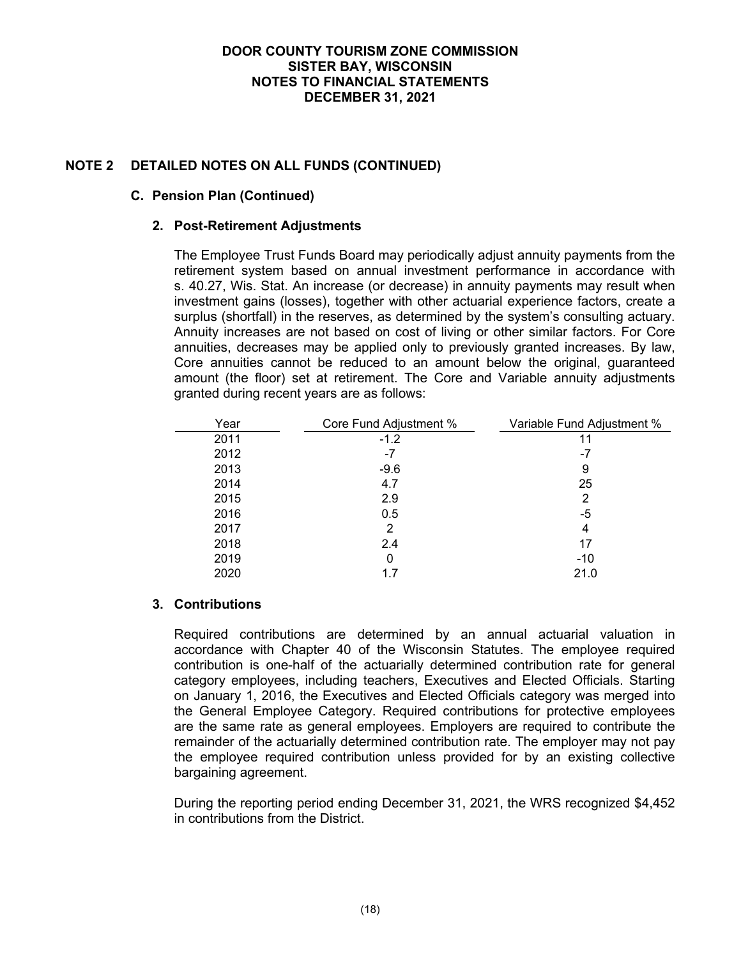### **NOTE 2 DETAILED NOTES ON ALL FUNDS (CONTINUED)**

### **C. Pension Plan (Continued)**

### **2. Post-Retirement Adjustments**

The Employee Trust Funds Board may periodically adjust annuity payments from the retirement system based on annual investment performance in accordance with s. 40.27, Wis. Stat. An increase (or decrease) in annuity payments may result when investment gains (losses), together with other actuarial experience factors, create a surplus (shortfall) in the reserves, as determined by the system's consulting actuary. Annuity increases are not based on cost of living or other similar factors. For Core annuities, decreases may be applied only to previously granted increases. By law, Core annuities cannot be reduced to an amount below the original, guaranteed amount (the floor) set at retirement. The Core and Variable annuity adjustments granted during recent years are as follows:

| Year | Core Fund Adjustment % | Variable Fund Adjustment % |
|------|------------------------|----------------------------|
| 2011 | $-1.2$                 | 11                         |
| 2012 | -7                     | -7                         |
| 2013 | $-9.6$                 | 9                          |
| 2014 | 4.7                    | 25                         |
| 2015 | 2.9                    | 2                          |
| 2016 | 0.5                    | -5                         |
| 2017 | 2                      | 4                          |
| 2018 | 2.4                    | 17                         |
| 2019 | 0                      | $-10$                      |
| 2020 | 1.7                    | 21.0                       |

#### **3. Contributions**

Required contributions are determined by an annual actuarial valuation in accordance with Chapter 40 of the Wisconsin Statutes. The employee required contribution is one-half of the actuarially determined contribution rate for general category employees, including teachers, Executives and Elected Officials. Starting on January 1, 2016, the Executives and Elected Officials category was merged into the General Employee Category. Required contributions for protective employees are the same rate as general employees. Employers are required to contribute the remainder of the actuarially determined contribution rate. The employer may not pay the employee required contribution unless provided for by an existing collective bargaining agreement.

During the reporting period ending December 31, 2021, the WRS recognized \$4,452 in contributions from the District.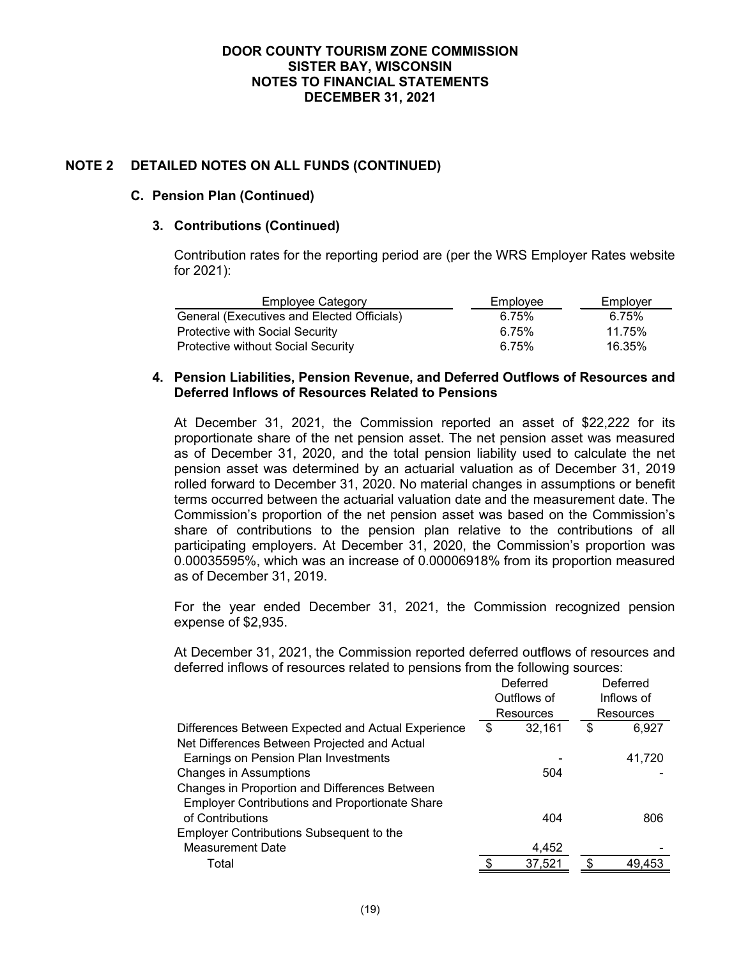### **NOTE 2 DETAILED NOTES ON ALL FUNDS (CONTINUED)**

### **C. Pension Plan (Continued)**

#### **3. Contributions (Continued)**

Contribution rates for the reporting period are (per the WRS Employer Rates website for 2021):

| <b>Employee Category</b>                   | Employee | Employer |
|--------------------------------------------|----------|----------|
| General (Executives and Elected Officials) | 6.75%    | 6.75%    |
| <b>Protective with Social Security</b>     | 6.75%    | 11.75%   |
| <b>Protective without Social Security</b>  | 6.75%    | 16.35%   |

### **4. Pension Liabilities, Pension Revenue, and Deferred Outflows of Resources and Deferred Inflows of Resources Related to Pensions**

At December 31, 2021, the Commission reported an asset of \$22,222 for its proportionate share of the net pension asset. The net pension asset was measured as of December 31, 2020, and the total pension liability used to calculate the net pension asset was determined by an actuarial valuation as of December 31, 2019 rolled forward to December 31, 2020. No material changes in assumptions or benefit terms occurred between the actuarial valuation date and the measurement date. The Commission's proportion of the net pension asset was based on the Commission's share of contributions to the pension plan relative to the contributions of all participating employers. At December 31, 2020, the Commission's proportion was 0.00035595%, which was an increase of 0.00006918% from its proportion measured as of December 31, 2019.

For the year ended December 31, 2021, the Commission recognized pension expense of \$2,935.

At December 31, 2021, the Commission reported deferred outflows of resources and deferred inflows of resources related to pensions from the following sources:

|                                                       | Deferred |             |            | Deferred  |  |
|-------------------------------------------------------|----------|-------------|------------|-----------|--|
|                                                       |          | Outflows of | Inflows of |           |  |
|                                                       |          | Resources   |            | Resources |  |
| Differences Between Expected and Actual Experience    | £.       | 32.161      | S          | 6.927     |  |
| Net Differences Between Projected and Actual          |          |             |            |           |  |
| Earnings on Pension Plan Investments                  |          |             |            | 41,720    |  |
| <b>Changes in Assumptions</b>                         |          | 504         |            |           |  |
| Changes in Proportion and Differences Between         |          |             |            |           |  |
| <b>Employer Contributions and Proportionate Share</b> |          |             |            |           |  |
| of Contributions                                      |          | 404         |            | 806       |  |
| Employer Contributions Subsequent to the              |          |             |            |           |  |
| <b>Measurement Date</b>                               |          | 4,452       |            |           |  |
| Total                                                 |          | 37,521      | ድ          | 49,453    |  |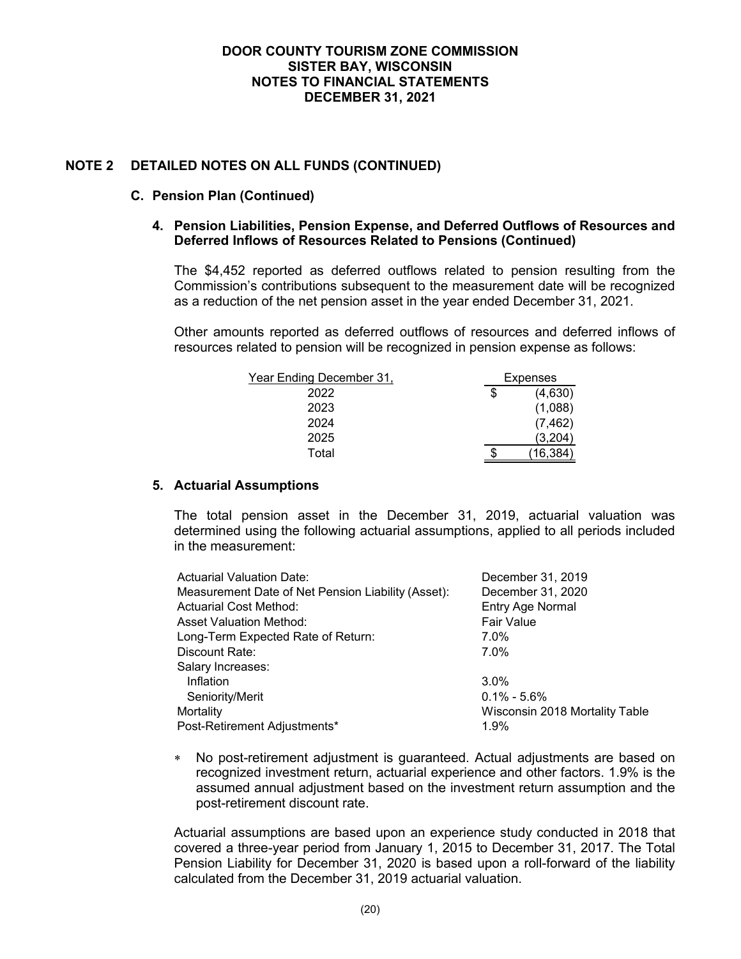### **NOTE 2 DETAILED NOTES ON ALL FUNDS (CONTINUED)**

### **C. Pension Plan (Continued)**

### **4. Pension Liabilities, Pension Expense, and Deferred Outflows of Resources and Deferred Inflows of Resources Related to Pensions (Continued)**

The \$4,452 reported as deferred outflows related to pension resulting from the Commission's contributions subsequent to the measurement date will be recognized as a reduction of the net pension asset in the year ended December 31, 2021.

Other amounts reported as deferred outflows of resources and deferred inflows of resources related to pension will be recognized in pension expense as follows:

| Year Ending December 31, | Expenses      |  |  |
|--------------------------|---------------|--|--|
| 2022                     | \$<br>(4,630) |  |  |
| 2023                     | (1,088)       |  |  |
| 2024                     | (7, 462)      |  |  |
| 2025                     | (3,204)       |  |  |
| Total                    | (16.384)      |  |  |

### **5. Actuarial Assumptions**

The total pension asset in the December 31, 2019, actuarial valuation was determined using the following actuarial assumptions, applied to all periods included in the measurement:

| <b>Actuarial Valuation Date:</b>                   | December 31, 2019              |
|----------------------------------------------------|--------------------------------|
| Measurement Date of Net Pension Liability (Asset): | December 31, 2020              |
| <b>Actuarial Cost Method:</b>                      | Entry Age Normal               |
| <b>Asset Valuation Method:</b>                     | Fair Value                     |
| Long-Term Expected Rate of Return:                 | 7.0%                           |
| Discount Rate:                                     | 7.0%                           |
| Salary Increases:                                  |                                |
| Inflation                                          | 3.0%                           |
| Seniority/Merit                                    | $0.1\% - 5.6\%$                |
| Mortality                                          | Wisconsin 2018 Mortality Table |
| Post-Retirement Adjustments*                       | 1.9%                           |
|                                                    |                                |

 No post-retirement adjustment is guaranteed. Actual adjustments are based on recognized investment return, actuarial experience and other factors. 1.9% is the assumed annual adjustment based on the investment return assumption and the post-retirement discount rate.

Actuarial assumptions are based upon an experience study conducted in 2018 that covered a three-year period from January 1, 2015 to December 31, 2017. The Total Pension Liability for December 31, 2020 is based upon a roll-forward of the liability calculated from the December 31, 2019 actuarial valuation.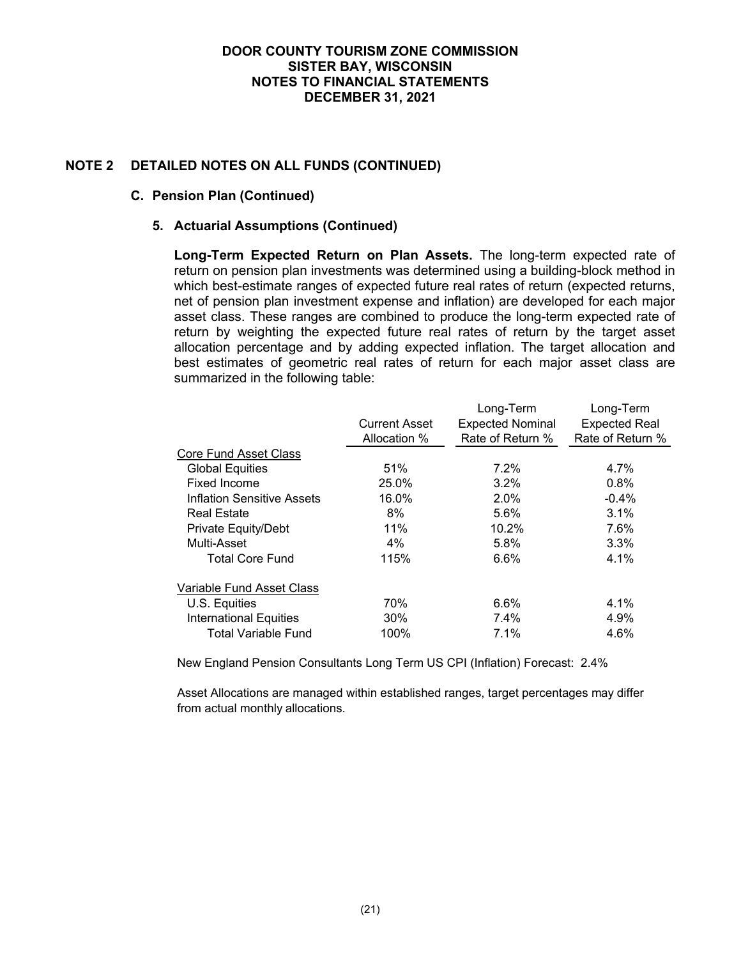### **NOTE 2 DETAILED NOTES ON ALL FUNDS (CONTINUED)**

### **C. Pension Plan (Continued)**

### **5. Actuarial Assumptions (Continued)**

**Long-Term Expected Return on Plan Assets.** The long-term expected rate of return on pension plan investments was determined using a building-block method in which best-estimate ranges of expected future real rates of return (expected returns, net of pension plan investment expense and inflation) are developed for each major asset class. These ranges are combined to produce the long-term expected rate of return by weighting the expected future real rates of return by the target asset allocation percentage and by adding expected inflation. The target allocation and best estimates of geometric real rates of return for each major asset class are summarized in the following table:

|                               |                      | Long-Term               | Long-Term            |
|-------------------------------|----------------------|-------------------------|----------------------|
|                               | <b>Current Asset</b> | <b>Expected Nominal</b> | <b>Expected Real</b> |
|                               | Allocation %         | Rate of Return %        | Rate of Return %     |
| <b>Core Fund Asset Class</b>  |                      |                         |                      |
| <b>Global Equities</b>        | 51%                  | 7.2%                    | 4.7%                 |
| <b>Fixed Income</b>           | 25.0%                | 3.2%                    | 0.8%                 |
| Inflation Sensitive Assets    | 16.0%                | 2.0%                    | $-0.4%$              |
| <b>Real Estate</b>            | 8%                   | 5.6%                    | 3.1%                 |
| Private Equity/Debt           | 11%                  | 10.2%                   | 7.6%                 |
| Multi-Asset                   | 4%                   | 5.8%                    | 3.3%                 |
| <b>Total Core Fund</b>        | 115%                 | 6.6%                    | 4.1%                 |
| Variable Fund Asset Class     |                      |                         |                      |
| U.S. Equities                 | 70%                  | 6.6%                    | 4.1%                 |
| <b>International Equities</b> | $30\%$               | 7.4%                    | 4.9%                 |
| <b>Total Variable Fund</b>    | 100%                 | 7.1%                    | 4.6%                 |

New England Pension Consultants Long Term US CPI (Inflation) Forecast: 2.4%

Asset Allocations are managed within established ranges, target percentages may differ from actual monthly allocations.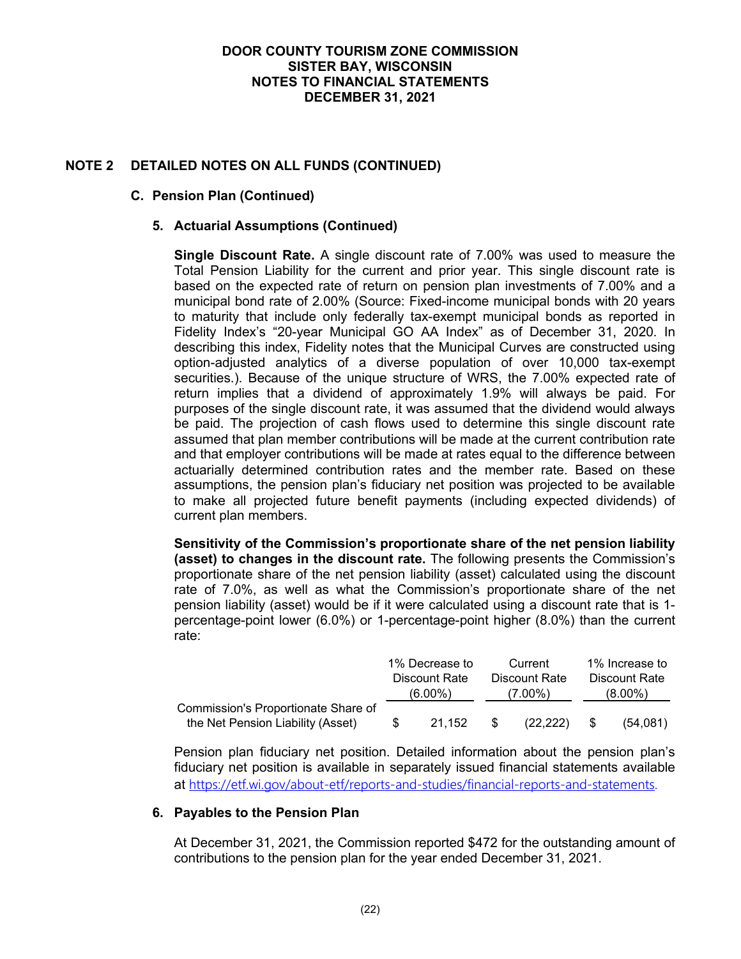### **NOTE 2 DETAILED NOTES ON ALL FUNDS (CONTINUED)**

### **C. Pension Plan (Continued)**

### **5. Actuarial Assumptions (Continued)**

**Single Discount Rate.** A single discount rate of 7.00% was used to measure the Total Pension Liability for the current and prior year. This single discount rate is based on the expected rate of return on pension plan investments of 7.00% and a municipal bond rate of 2.00% (Source: Fixed-income municipal bonds with 20 years to maturity that include only federally tax-exempt municipal bonds as reported in Fidelity Index's "20-year Municipal GO AA Index" as of December 31, 2020. In describing this index, Fidelity notes that the Municipal Curves are constructed using option-adjusted analytics of a diverse population of over 10,000 tax-exempt securities.). Because of the unique structure of WRS, the 7.00% expected rate of return implies that a dividend of approximately 1.9% will always be paid. For purposes of the single discount rate, it was assumed that the dividend would always be paid. The projection of cash flows used to determine this single discount rate assumed that plan member contributions will be made at the current contribution rate and that employer contributions will be made at rates equal to the difference between actuarially determined contribution rates and the member rate. Based on these assumptions, the pension plan's fiduciary net position was projected to be available to make all projected future benefit payments (including expected dividends) of current plan members.

**Sensitivity of the Commission's proportionate share of the net pension liability (asset) to changes in the discount rate.** The following presents the Commission's proportionate share of the net pension liability (asset) calculated using the discount rate of 7.0%, as well as what the Commission's proportionate share of the net pension liability (asset) would be if it were calculated using a discount rate that is 1 percentage-point lower (6.0%) or 1-percentage-point higher (8.0%) than the current rate:

|                                     | 1% Decrease to |     | Current       | 1% Increase to |               |  |
|-------------------------------------|----------------|-----|---------------|----------------|---------------|--|
|                                     | Discount Rate  |     | Discount Rate |                | Discount Rate |  |
|                                     | $(6.00\%)$     |     | $(7.00\%)$    | $(8.00\%)$     |               |  |
| Commission's Proportionate Share of |                |     |               |                |               |  |
| the Net Pension Liability (Asset)   | 21.152         | \$. | (22.222)      | \$.            | (54.081)      |  |

Pension plan fiduciary net position. Detailed information about the pension plan's fiduciary net position is available in separately issued financial statements available at https://etf.wi.gov/about-etf/reports-and-studies/financial-reports-and-statements.

### **6. Payables to the Pension Plan**

At December 31, 2021, the Commission reported \$472 for the outstanding amount of contributions to the pension plan for the year ended December 31, 2021.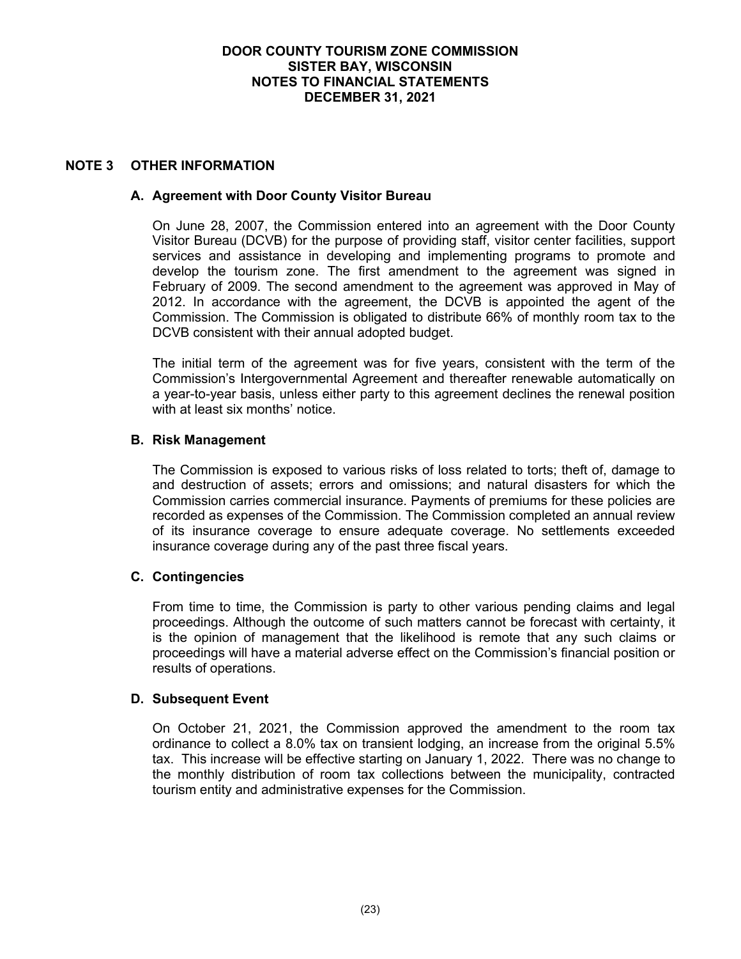### **NOTE 3 OTHER INFORMATION**

#### **A. Agreement with Door County Visitor Bureau**

On June 28, 2007, the Commission entered into an agreement with the Door County Visitor Bureau (DCVB) for the purpose of providing staff, visitor center facilities, support services and assistance in developing and implementing programs to promote and develop the tourism zone. The first amendment to the agreement was signed in February of 2009. The second amendment to the agreement was approved in May of 2012. In accordance with the agreement, the DCVB is appointed the agent of the Commission. The Commission is obligated to distribute 66% of monthly room tax to the DCVB consistent with their annual adopted budget.

The initial term of the agreement was for five years, consistent with the term of the Commission's Intergovernmental Agreement and thereafter renewable automatically on a year-to-year basis, unless either party to this agreement declines the renewal position with at least six months' notice.

### **B. Risk Management**

The Commission is exposed to various risks of loss related to torts; theft of, damage to and destruction of assets; errors and omissions; and natural disasters for which the Commission carries commercial insurance. Payments of premiums for these policies are recorded as expenses of the Commission. The Commission completed an annual review of its insurance coverage to ensure adequate coverage. No settlements exceeded insurance coverage during any of the past three fiscal years.

### **C. Contingencies**

From time to time, the Commission is party to other various pending claims and legal proceedings. Although the outcome of such matters cannot be forecast with certainty, it is the opinion of management that the likelihood is remote that any such claims or proceedings will have a material adverse effect on the Commission's financial position or results of operations.

#### **D. Subsequent Event**

On October 21, 2021, the Commission approved the amendment to the room tax ordinance to collect a 8.0% tax on transient lodging, an increase from the original 5.5% tax. This increase will be effective starting on January 1, 2022. There was no change to the monthly distribution of room tax collections between the municipality, contracted tourism entity and administrative expenses for the Commission.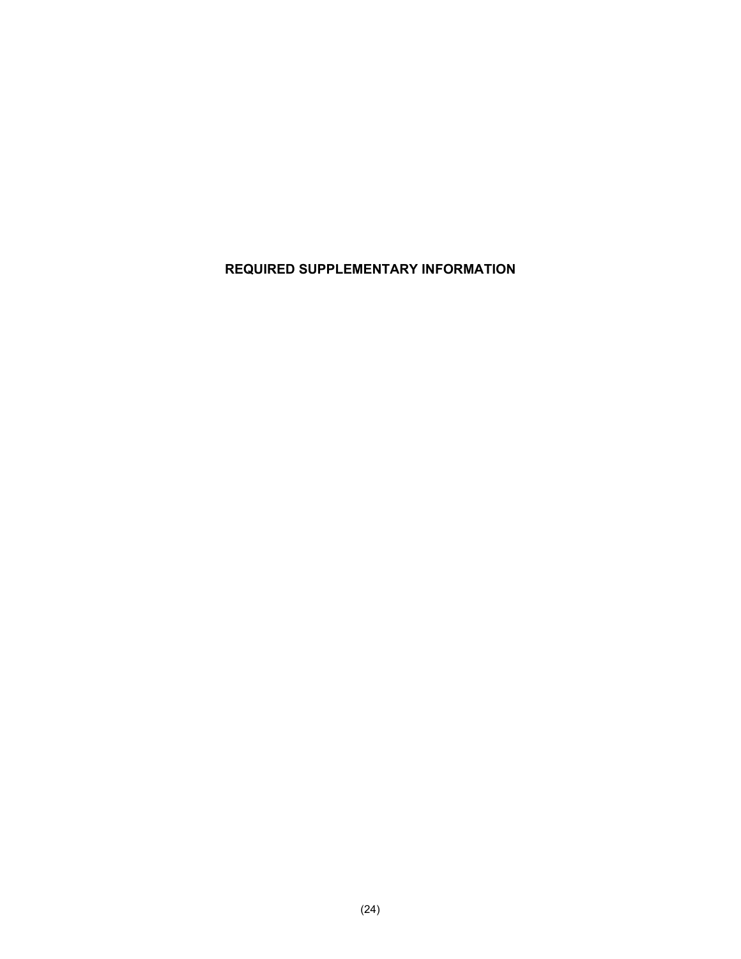**REQUIRED SUPPLEMENTARY INFORMATION**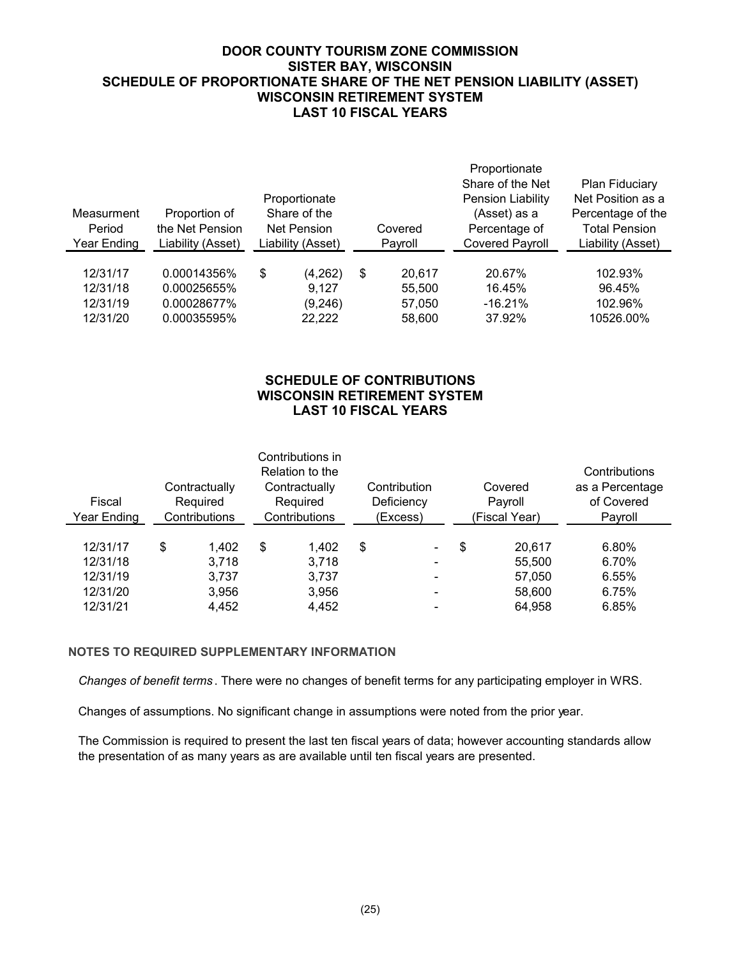### **DOOR COUNTY TOURISM ZONE COMMISSION SISTER BAY, WISCONSIN SCHEDULE OF PROPORTIONATE SHARE OF THE NET PENSION LIABILITY (ASSET) WISCONSIN RETIREMENT SYSTEM LAST 10 FISCAL YEARS**

| Measurment<br>Period<br>Year Ending          | Proportion of<br>the Net Pension<br>Liability (Asset)    | Proportionate<br>Share of the<br>Net Pension<br>Liability (Asset) | Covered<br>Payroll                         | Proportionate<br>Share of the Net<br><b>Pension Liability</b><br>(Asset) as a<br>Percentage of<br><b>Covered Payroll</b> | Plan Fiduciary<br>Net Position as a<br>Percentage of the<br><b>Total Pension</b><br>Liability (Asset) |
|----------------------------------------------|----------------------------------------------------------|-------------------------------------------------------------------|--------------------------------------------|--------------------------------------------------------------------------------------------------------------------------|-------------------------------------------------------------------------------------------------------|
| 12/31/17<br>12/31/18<br>12/31/19<br>12/31/20 | 0.00014356%<br>0.00025655%<br>0.00028677%<br>0.00035595% | \$<br>(4,262)<br>9,127<br>(9,246)<br>22,222                       | \$<br>20,617<br>55,500<br>57,050<br>58.600 | 20.67%<br>16.45%<br>$-16.21\%$<br>37.92%                                                                                 | 102.93%<br>96.45%<br>102.96%<br>10526.00%                                                             |

### **SCHEDULE OF CONTRIBUTIONS WISCONSIN RETIREMENT SYSTEM LAST 10 FISCAL YEARS**

| Fiscal<br>Year Ending | Contractually<br>Required<br>Contributions | Contributions in<br>Relation to the<br>Contractually<br>Required<br>Contributions |       | Contribution<br>Deficiency<br>(Excess) | Covered<br>Payroll<br>(Fiscal Year) | Contributions<br>as a Percentage<br>of Covered<br>Payroll |  |  |
|-----------------------|--------------------------------------------|-----------------------------------------------------------------------------------|-------|----------------------------------------|-------------------------------------|-----------------------------------------------------------|--|--|
| 12/31/17              | \$<br>1.402                                | \$                                                                                | 1,402 | \$<br>$\blacksquare$                   | \$<br>20.617                        | 6.80%                                                     |  |  |
| 12/31/18              | 3.718                                      |                                                                                   | 3,718 | $\overline{\phantom{0}}$               | 55,500                              | 6.70%                                                     |  |  |
| 12/31/19              | 3,737                                      |                                                                                   | 3.737 | $\overline{\phantom{0}}$               | 57,050                              | 6.55%                                                     |  |  |
| 12/31/20              | 3,956                                      |                                                                                   | 3,956 | $\overline{\phantom{0}}$               | 58,600                              | 6.75%                                                     |  |  |
| 12/31/21              | 4,452                                      |                                                                                   | 4,452 |                                        | 64,958                              | 6.85%                                                     |  |  |

#### **NOTES TO REQUIRED SUPPLEMENTARY INFORMATION**

*Changes of benefit terms* . There were no changes of benefit terms for any participating employer in WRS.

Changes of assumptions. No significant change in assumptions were noted from the prior year.

The Commission is required to present the last ten fiscal years of data; however accounting standards allow the presentation of as many years as are available until ten fiscal years are presented.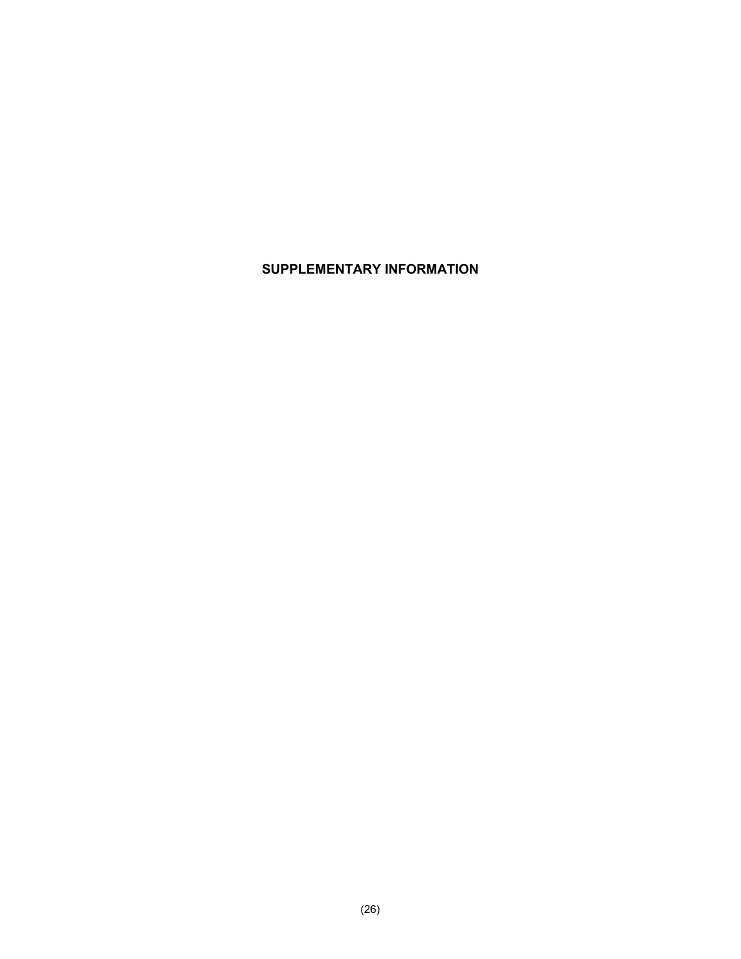# **SUPPLEMENTARY INFORMATION**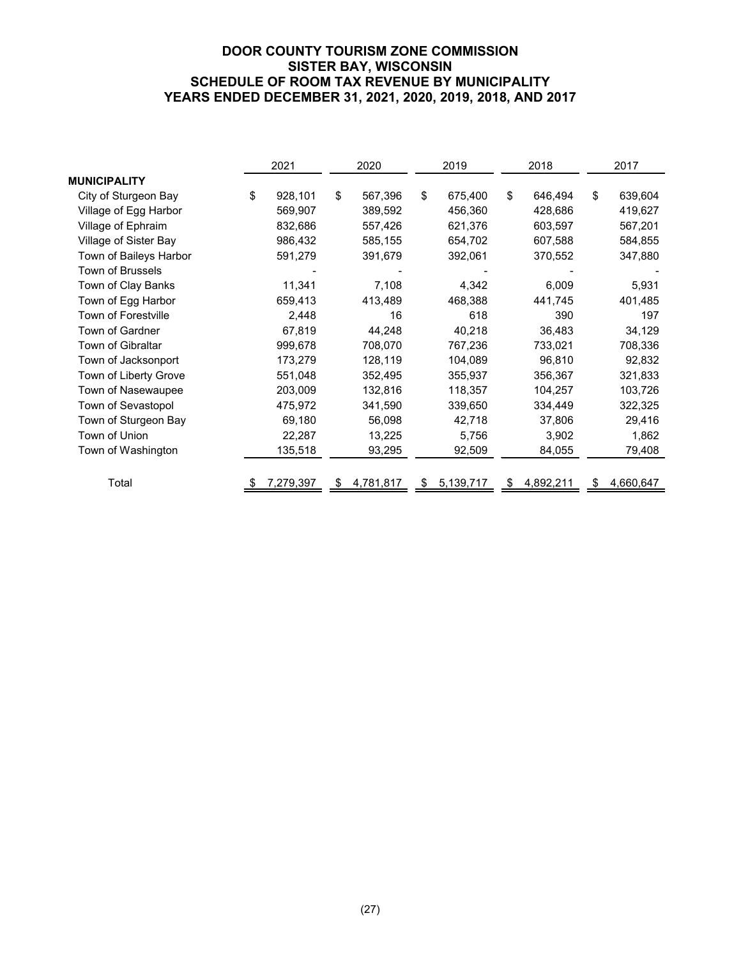### **DOOR COUNTY TOURISM ZONE COMMISSION SISTER BAY, WISCONSIN SCHEDULE OF ROOM TAX REVENUE BY MUNICIPALITY YEARS ENDED DECEMBER 31, 2021, 2020, 2019, 2018, AND 2017**

|                          | 2021          | 2020          | 2019 |           | 2018 |           | 2017 |           |
|--------------------------|---------------|---------------|------|-----------|------|-----------|------|-----------|
| <b>MUNICIPALITY</b>      |               |               |      |           |      |           |      |           |
| City of Sturgeon Bay     | \$<br>928,101 | \$<br>567,396 | \$   | 675,400   | \$   | 646,494   | \$   | 639,604   |
| Village of Egg Harbor    | 569,907       | 389,592       |      | 456,360   |      | 428,686   |      | 419,627   |
| Village of Ephraim       | 832,686       | 557,426       |      | 621,376   |      | 603,597   |      | 567,201   |
| Village of Sister Bay    | 986,432       | 585,155       |      | 654,702   |      | 607,588   |      | 584,855   |
| Town of Baileys Harbor   | 591,279       | 391,679       |      | 392,061   |      | 370,552   |      | 347,880   |
| Town of Brussels         |               |               |      |           |      |           |      |           |
| Town of Clay Banks       | 11,341        | 7,108         |      | 4,342     |      | 6,009     |      | 5,931     |
| Town of Egg Harbor       | 659,413       | 413,489       |      | 468,388   |      | 441,745   |      | 401,485   |
| Town of Forestville      | 2,448         | 16            |      | 618       |      | 390       |      | 197       |
| Town of Gardner          | 67,819        | 44,248        |      | 40,218    |      | 36,483    |      | 34,129    |
| <b>Town of Gibraltar</b> | 999,678       | 708,070       |      | 767,236   |      | 733,021   |      | 708,336   |
| Town of Jacksonport      | 173,279       | 128,119       |      | 104,089   |      | 96,810    |      | 92,832    |
| Town of Liberty Grove    | 551,048       | 352,495       |      | 355,937   |      | 356,367   |      | 321,833   |
| Town of Nasewaupee       | 203,009       | 132,816       |      | 118,357   |      | 104,257   |      | 103,726   |
| Town of Sevastopol       | 475,972       | 341,590       |      | 339,650   |      | 334,449   |      | 322,325   |
| Town of Sturgeon Bay     | 69,180        | 56,098        |      | 42,718    |      | 37,806    |      | 29,416    |
| Town of Union            | 22,287        | 13,225        |      | 5,756     |      | 3,902     |      | 1,862     |
| Town of Washington       | 135,518       | 93,295        |      | 92,509    |      | 84,055    |      | 79,408    |
| Total                    | 7,279,397     | 4,781,817     | \$.  | 5,139,717 | S    | 4,892,211 | S    | 4,660,647 |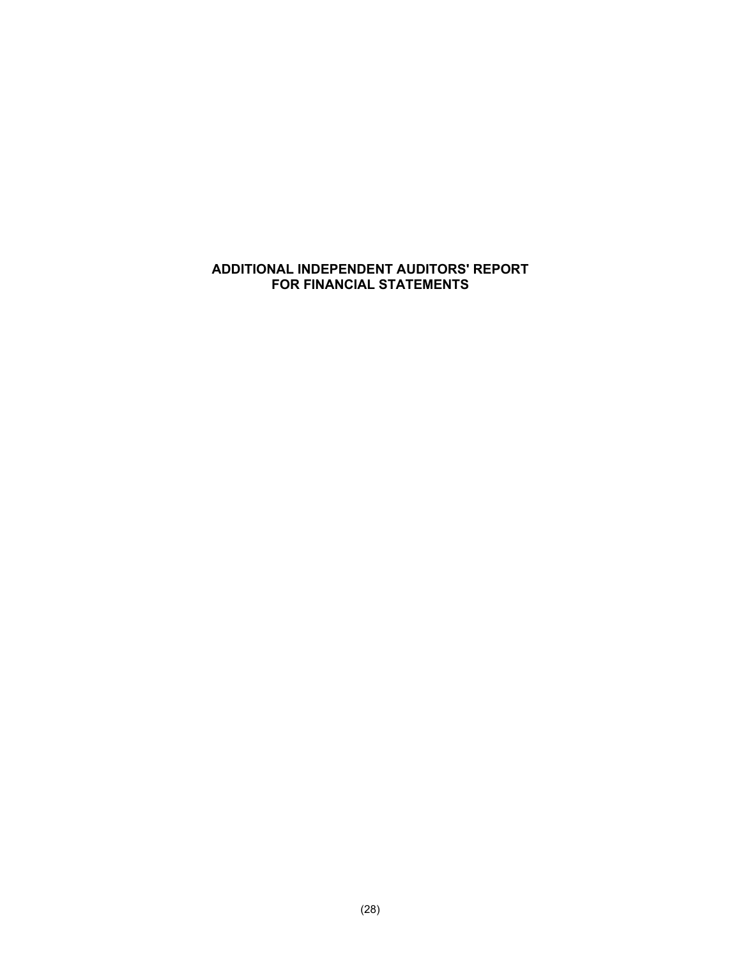# **ADDITIONAL INDEPENDENT AUDITORS' REPORT FOR FINANCIAL STATEMENTS**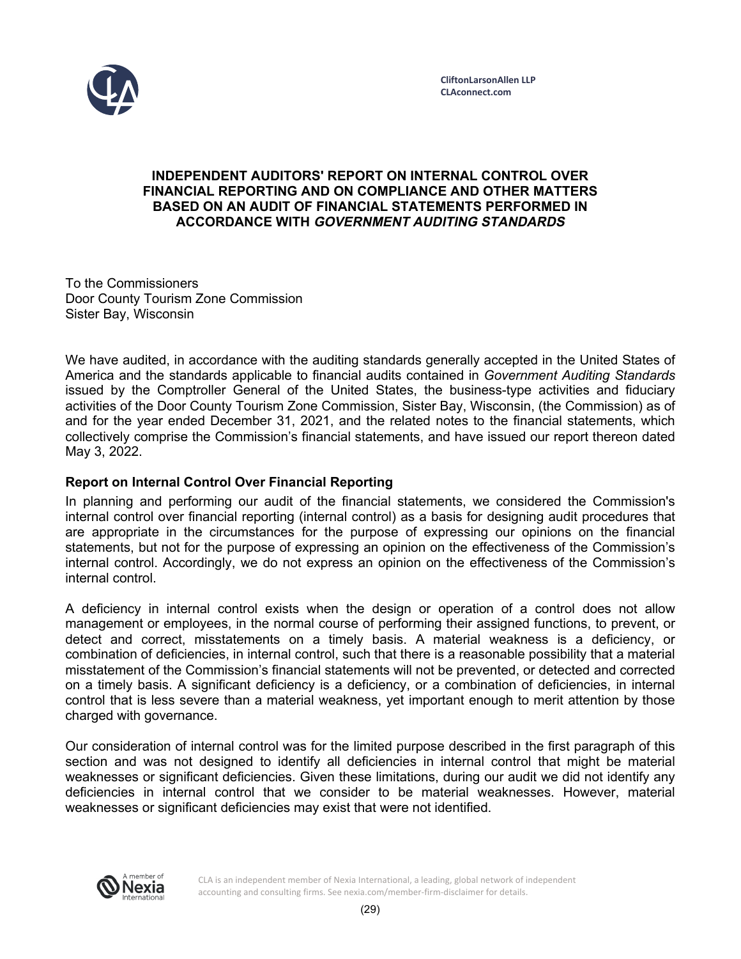

### **INDEPENDENT AUDITORS' REPORT ON INTERNAL CONTROL OVER FINANCIAL REPORTING AND ON COMPLIANCE AND OTHER MATTERS BASED ON AN AUDIT OF FINANCIAL STATEMENTS PERFORMED IN ACCORDANCE WITH GOVERNMENT AUDITING STANDARDS**

To the Commissioners Door County Tourism Zone Commission Sister Bay, Wisconsin

We have audited, in accordance with the auditing standards generally accepted in the United States of America and the standards applicable to financial audits contained in *Government Auditing Standards* issued by the Comptroller General of the United States, the business-type activities and fiduciary activities of the Door County Tourism Zone Commission, Sister Bay, Wisconsin, (the Commission) as of and for the year ended December 31, 2021, and the related notes to the financial statements, which collectively comprise the Commission's financial statements, and have issued our report thereon dated May 3, 2022.

### **Report on Internal Control Over Financial Reporting**

In planning and performing our audit of the financial statements, we considered the Commission's internal control over financial reporting (internal control) as a basis for designing audit procedures that are appropriate in the circumstances for the purpose of expressing our opinions on the financial statements, but not for the purpose of expressing an opinion on the effectiveness of the Commission's internal control. Accordingly, we do not express an opinion on the effectiveness of the Commission's internal control.

A deficiency in internal control exists when the design or operation of a control does not allow management or employees, in the normal course of performing their assigned functions, to prevent, or detect and correct, misstatements on a timely basis. A material weakness is a deficiency, or combination of deficiencies, in internal control, such that there is a reasonable possibility that a material misstatement of the Commission's financial statements will not be prevented, or detected and corrected on a timely basis. A significant deficiency is a deficiency, or a combination of deficiencies, in internal control that is less severe than a material weakness, yet important enough to merit attention by those charged with governance.

Our consideration of internal control was for the limited purpose described in the first paragraph of this section and was not designed to identify all deficiencies in internal control that might be material weaknesses or significant deficiencies. Given these limitations, during our audit we did not identify any deficiencies in internal control that we consider to be material weaknesses. However, material weaknesses or significant deficiencies may exist that were not identified.



CLA is an independent member of Nexia International, a leading, global network of independent accounting and consulting firms. See nexia.com/member-firm-disclaimer for details.